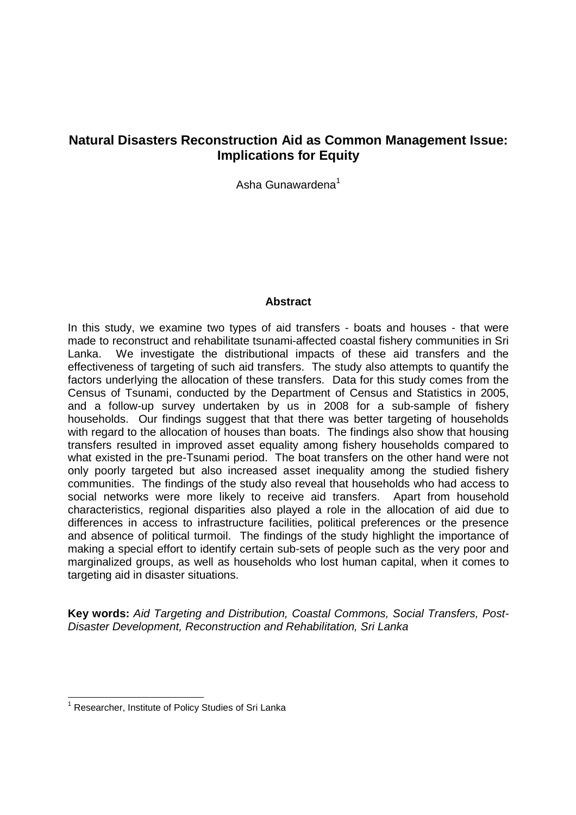# **Natural Disasters Reconstruction Aid as Common Management Issue: Implications for Equity**

Asha Gunawardena<sup>1</sup>

#### **Abstract**

In this study, we examine two types of aid transfers - boats and houses - that were made to reconstruct and rehabilitate tsunami-affected coastal fishery communities in Sri Lanka. We investigate the distributional impacts of these aid transfers and the effectiveness of targeting of such aid transfers. The study also attempts to quantify the factors underlying the allocation of these transfers. Data for this study comes from the Census of Tsunami, conducted by the Department of Census and Statistics in 2005, and a follow-up survey undertaken by us in 2008 for a sub-sample of fishery households. Our findings suggest that that there was better targeting of households with regard to the allocation of houses than boats. The findings also show that housing transfers resulted in improved asset equality among fishery households compared to what existed in the pre-Tsunami period. The boat transfers on the other hand were not only poorly targeted but also increased asset inequality among the studied fishery communities. The findings of the study also reveal that households who had access to social networks were more likely to receive aid transfers. Apart from household characteristics, regional disparities also played a role in the allocation of aid due to differences in access to infrastructure facilities, political preferences or the presence and absence of political turmoil. The findings of the study highlight the importance of making a special effort to identify certain sub-sets of people such as the very poor and marginalized groups, as well as households who lost human capital, when it comes to targeting aid in disaster situations.

**Key words:** Aid Targeting and Distribution, Coastal Commons, Social Transfers, Post-Disaster Development, Reconstruction and Rehabilitation, Sri Lanka

 1 Researcher, Institute of Policy Studies of Sri Lanka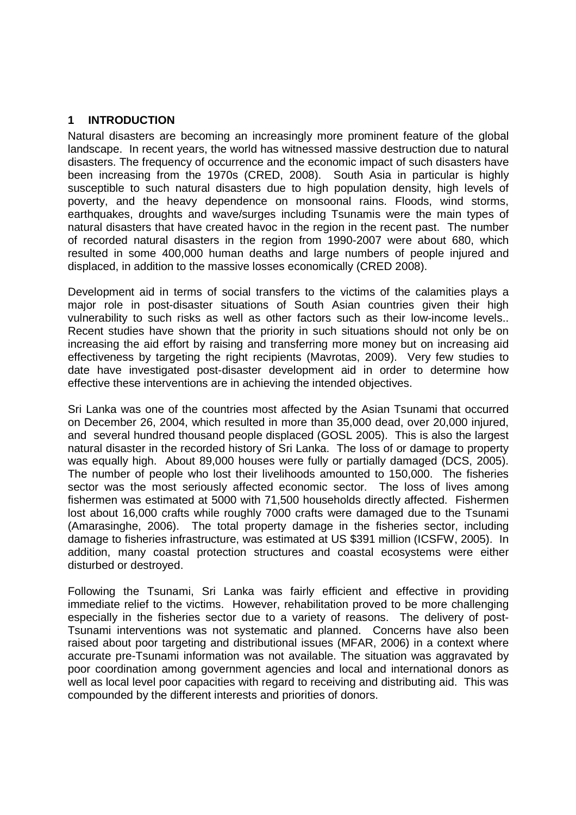## **1 INTRODUCTION**

Natural disasters are becoming an increasingly more prominent feature of the global landscape. In recent years, the world has witnessed massive destruction due to natural disasters. The frequency of occurrence and the economic impact of such disasters have been increasing from the 1970s (CRED, 2008). South Asia in particular is highly susceptible to such natural disasters due to high population density, high levels of poverty, and the heavy dependence on monsoonal rains. Floods, wind storms, earthquakes, droughts and wave/surges including Tsunamis were the main types of natural disasters that have created havoc in the region in the recent past. The number of recorded natural disasters in the region from 1990-2007 were about 680, which resulted in some 400,000 human deaths and large numbers of people injured and displaced, in addition to the massive losses economically (CRED 2008).

Development aid in terms of social transfers to the victims of the calamities plays a major role in post-disaster situations of South Asian countries given their high vulnerability to such risks as well as other factors such as their low-income levels.. Recent studies have shown that the priority in such situations should not only be on increasing the aid effort by raising and transferring more money but on increasing aid effectiveness by targeting the right recipients (Mavrotas, 2009). Very few studies to date have investigated post-disaster development aid in order to determine how effective these interventions are in achieving the intended objectives.

Sri Lanka was one of the countries most affected by the Asian Tsunami that occurred on December 26, 2004, which resulted in more than 35,000 dead, over 20,000 injured, and several hundred thousand people displaced (GOSL 2005). This is also the largest natural disaster in the recorded history of Sri Lanka. The loss of or damage to property was equally high. About 89,000 houses were fully or partially damaged (DCS, 2005). The number of people who lost their livelihoods amounted to 150,000. The fisheries sector was the most seriously affected economic sector. The loss of lives among fishermen was estimated at 5000 with 71,500 households directly affected. Fishermen lost about 16,000 crafts while roughly 7000 crafts were damaged due to the Tsunami (Amarasinghe, 2006). The total property damage in the fisheries sector, including damage to fisheries infrastructure, was estimated at US \$391 million (ICSFW, 2005). In addition, many coastal protection structures and coastal ecosystems were either disturbed or destroyed.

Following the Tsunami, Sri Lanka was fairly efficient and effective in providing immediate relief to the victims. However, rehabilitation proved to be more challenging especially in the fisheries sector due to a variety of reasons. The delivery of post-Tsunami interventions was not systematic and planned. Concerns have also been raised about poor targeting and distributional issues (MFAR, 2006) in a context where accurate pre-Tsunami information was not available. The situation was aggravated by poor coordination among government agencies and local and international donors as well as local level poor capacities with regard to receiving and distributing aid. This was compounded by the different interests and priorities of donors.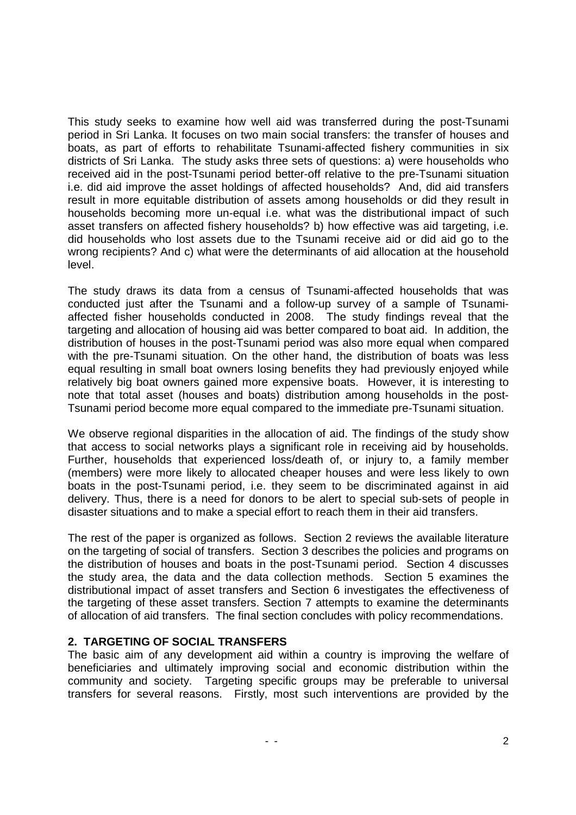This study seeks to examine how well aid was transferred during the post-Tsunami period in Sri Lanka. It focuses on two main social transfers: the transfer of houses and boats, as part of efforts to rehabilitate Tsunami-affected fishery communities in six districts of Sri Lanka. The study asks three sets of questions: a) were households who received aid in the post-Tsunami period better-off relative to the pre-Tsunami situation i.e. did aid improve the asset holdings of affected households? And, did aid transfers result in more equitable distribution of assets among households or did they result in households becoming more un-equal i.e. what was the distributional impact of such asset transfers on affected fishery households? b) how effective was aid targeting, i.e. did households who lost assets due to the Tsunami receive aid or did aid go to the wrong recipients? And c) what were the determinants of aid allocation at the household level.

The study draws its data from a census of Tsunami-affected households that was conducted just after the Tsunami and a follow-up survey of a sample of Tsunamiaffected fisher households conducted in 2008. The study findings reveal that the targeting and allocation of housing aid was better compared to boat aid. In addition, the distribution of houses in the post-Tsunami period was also more equal when compared with the pre-Tsunami situation. On the other hand, the distribution of boats was less equal resulting in small boat owners losing benefits they had previously enjoyed while relatively big boat owners gained more expensive boats. However, it is interesting to note that total asset (houses and boats) distribution among households in the post-Tsunami period become more equal compared to the immediate pre-Tsunami situation.

We observe regional disparities in the allocation of aid. The findings of the study show that access to social networks plays a significant role in receiving aid by households. Further, households that experienced loss/death of, or injury to, a family member (members) were more likely to allocated cheaper houses and were less likely to own boats in the post-Tsunami period, i.e. they seem to be discriminated against in aid delivery. Thus, there is a need for donors to be alert to special sub-sets of people in disaster situations and to make a special effort to reach them in their aid transfers.

The rest of the paper is organized as follows. Section 2 reviews the available literature on the targeting of social of transfers. Section 3 describes the policies and programs on the distribution of houses and boats in the post-Tsunami period. Section 4 discusses the study area, the data and the data collection methods. Section 5 examines the distributional impact of asset transfers and Section 6 investigates the effectiveness of the targeting of these asset transfers. Section 7 attempts to examine the determinants of allocation of aid transfers. The final section concludes with policy recommendations.

## **2. TARGETING OF SOCIAL TRANSFERS**

The basic aim of any development aid within a country is improving the welfare of beneficiaries and ultimately improving social and economic distribution within the community and society. Targeting specific groups may be preferable to universal transfers for several reasons. Firstly, most such interventions are provided by the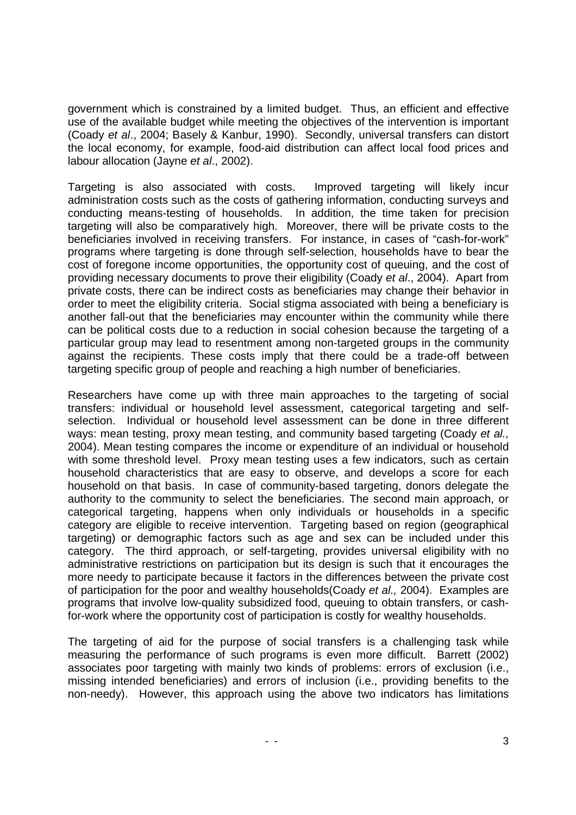government which is constrained by a limited budget. Thus, an efficient and effective use of the available budget while meeting the objectives of the intervention is important (Coady et al., 2004; Basely & Kanbur, 1990). Secondly, universal transfers can distort the local economy, for example, food-aid distribution can affect local food prices and labour allocation (Jayne et al., 2002).

Targeting is also associated with costs. Improved targeting will likely incur administration costs such as the costs of gathering information, conducting surveys and conducting means-testing of households. In addition, the time taken for precision targeting will also be comparatively high. Moreover, there will be private costs to the beneficiaries involved in receiving transfers. For instance, in cases of "cash-for-work" programs where targeting is done through self-selection, households have to bear the cost of foregone income opportunities, the opportunity cost of queuing, and the cost of providing necessary documents to prove their eligibility (Coady et al., 2004). Apart from private costs, there can be indirect costs as beneficiaries may change their behavior in order to meet the eligibility criteria. Social stigma associated with being a beneficiary is another fall-out that the beneficiaries may encounter within the community while there can be political costs due to a reduction in social cohesion because the targeting of a particular group may lead to resentment among non-targeted groups in the community against the recipients. These costs imply that there could be a trade-off between targeting specific group of people and reaching a high number of beneficiaries.

Researchers have come up with three main approaches to the targeting of social transfers: individual or household level assessment, categorical targeting and selfselection. Individual or household level assessment can be done in three different ways: mean testing, proxy mean testing, and community based targeting (Coady et al., 2004). Mean testing compares the income or expenditure of an individual or household with some threshold level. Proxy mean testing uses a few indicators, such as certain household characteristics that are easy to observe, and develops a score for each household on that basis. In case of community-based targeting, donors delegate the authority to the community to select the beneficiaries. The second main approach, or categorical targeting, happens when only individuals or households in a specific category are eligible to receive intervention. Targeting based on region (geographical targeting) or demographic factors such as age and sex can be included under this category. The third approach, or self-targeting, provides universal eligibility with no administrative restrictions on participation but its design is such that it encourages the more needy to participate because it factors in the differences between the private cost of participation for the poor and wealthy households(Coady et al., 2004). Examples are programs that involve low-quality subsidized food, queuing to obtain transfers, or cashfor-work where the opportunity cost of participation is costly for wealthy households.

The targeting of aid for the purpose of social transfers is a challenging task while measuring the performance of such programs is even more difficult. Barrett (2002) associates poor targeting with mainly two kinds of problems: errors of exclusion (i.e., missing intended beneficiaries) and errors of inclusion (i.e., providing benefits to the non-needy). However, this approach using the above two indicators has limitations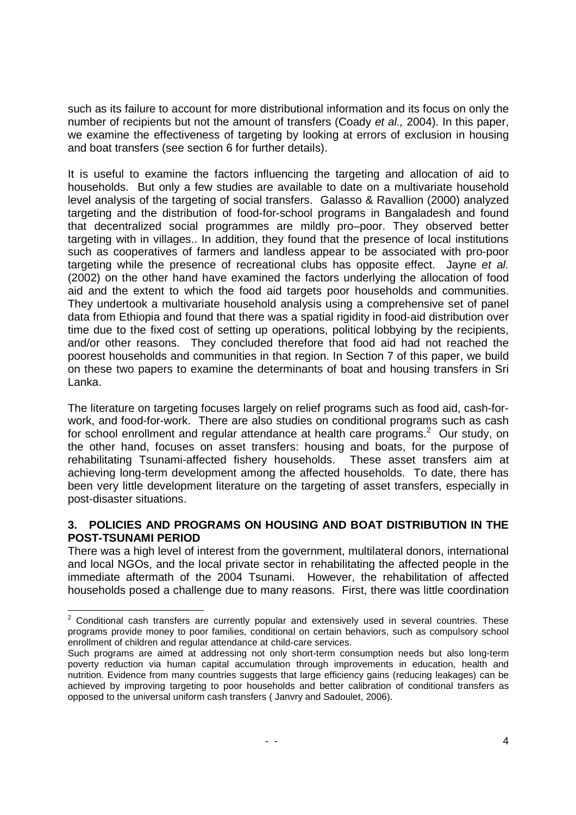such as its failure to account for more distributional information and its focus on only the number of recipients but not the amount of transfers (Coady et al., 2004). In this paper, we examine the effectiveness of targeting by looking at errors of exclusion in housing and boat transfers (see section 6 for further details).

It is useful to examine the factors influencing the targeting and allocation of aid to households. But only a few studies are available to date on a multivariate household level analysis of the targeting of social transfers. Galasso & Ravallion (2000) analyzed targeting and the distribution of food-for-school programs in Bangaladesh and found that decentralized social programmes are mildly pro–poor. They observed better targeting with in villages.. In addition, they found that the presence of local institutions such as cooperatives of farmers and landless appear to be associated with pro-poor targeting while the presence of recreational clubs has opposite effect. Jayne et al. (2002) on the other hand have examined the factors underlying the allocation of food aid and the extent to which the food aid targets poor households and communities. They undertook a multivariate household analysis using a comprehensive set of panel data from Ethiopia and found that there was a spatial rigidity in food-aid distribution over time due to the fixed cost of setting up operations, political lobbying by the recipients, and/or other reasons. They concluded therefore that food aid had not reached the poorest households and communities in that region. In Section 7 of this paper, we build on these two papers to examine the determinants of boat and housing transfers in Sri Lanka.

The literature on targeting focuses largely on relief programs such as food aid, cash-forwork, and food-for-work. There are also studies on conditional programs such as cash for school enrollment and regular attendance at health care programs.<sup>2</sup> Our study, on the other hand, focuses on asset transfers: housing and boats, for the purpose of rehabilitating Tsunami-affected fishery households. These asset transfers aim at achieving long-term development among the affected households. To date, there has been very little development literature on the targeting of asset transfers, especially in post-disaster situations.

## **3. POLICIES AND PROGRAMS ON HOUSING AND BOAT DISTRIBUTION IN THE POST-TSUNAMI PERIOD**

There was a high level of interest from the government, multilateral donors, international and local NGOs, and the local private sector in rehabilitating the affected people in the immediate aftermath of the 2004 Tsunami. However, the rehabilitation of affected households posed a challenge due to many reasons. First, there was little coordination

 2 Conditional cash transfers are currently popular and extensively used in several countries. These programs provide money to poor families, conditional on certain behaviors, such as compulsory school enrollment of children and regular attendance at child-care services.

Such programs are aimed at addressing not only short-term consumption needs but also long-term poverty reduction via human capital accumulation through improvements in education, health and nutrition. Evidence from many countries suggests that large efficiency gains (reducing leakages) can be achieved by improving targeting to poor households and better calibration of conditional transfers as opposed to the universal uniform cash transfers ( Janvry and Sadoulet, 2006).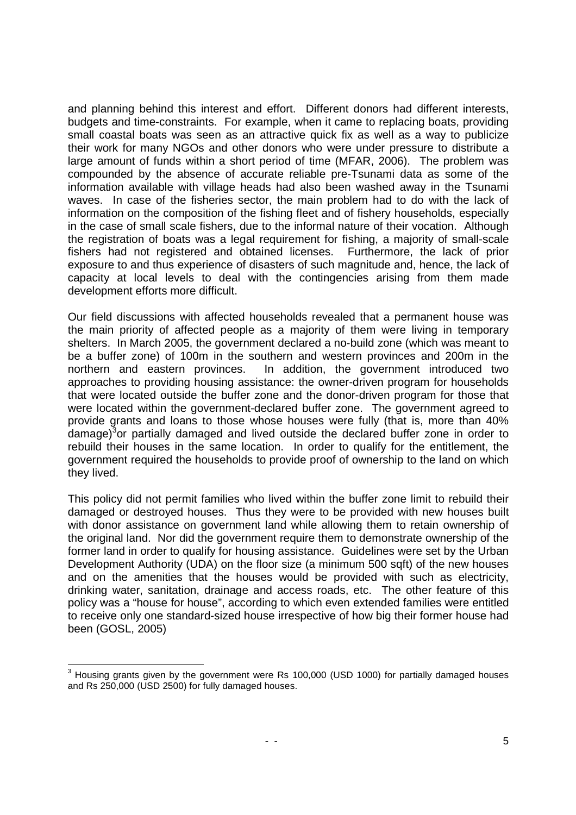and planning behind this interest and effort. Different donors had different interests, budgets and time-constraints. For example, when it came to replacing boats, providing small coastal boats was seen as an attractive quick fix as well as a way to publicize their work for many NGOs and other donors who were under pressure to distribute a large amount of funds within a short period of time (MFAR, 2006). The problem was compounded by the absence of accurate reliable pre-Tsunami data as some of the information available with village heads had also been washed away in the Tsunami waves. In case of the fisheries sector, the main problem had to do with the lack of information on the composition of the fishing fleet and of fishery households, especially in the case of small scale fishers, due to the informal nature of their vocation. Although the registration of boats was a legal requirement for fishing, a majority of small-scale fishers had not registered and obtained licenses. Furthermore, the lack of prior exposure to and thus experience of disasters of such magnitude and, hence, the lack of capacity at local levels to deal with the contingencies arising from them made development efforts more difficult.

Our field discussions with affected households revealed that a permanent house was the main priority of affected people as a majority of them were living in temporary shelters. In March 2005, the government declared a no-build zone (which was meant to be a buffer zone) of 100m in the southern and western provinces and 200m in the northern and eastern provinces. In addition, the government introduced two approaches to providing housing assistance: the owner-driven program for households that were located outside the buffer zone and the donor-driven program for those that were located within the government-declared buffer zone. The government agreed to provide grants and loans to those whose houses were fully (that is, more than 40% damage)<sup>3</sup>or partially damaged and lived outside the declared buffer zone in order to rebuild their houses in the same location. In order to qualify for the entitlement, the government required the households to provide proof of ownership to the land on which they lived.

This policy did not permit families who lived within the buffer zone limit to rebuild their damaged or destroyed houses. Thus they were to be provided with new houses built with donor assistance on government land while allowing them to retain ownership of the original land. Nor did the government require them to demonstrate ownership of the former land in order to qualify for housing assistance. Guidelines were set by the Urban Development Authority (UDA) on the floor size (a minimum 500 sqft) of the new houses and on the amenities that the houses would be provided with such as electricity, drinking water, sanitation, drainage and access roads, etc. The other feature of this policy was a "house for house", according to which even extended families were entitled to receive only one standard-sized house irrespective of how big their former house had been (GOSL, 2005)

 3 Housing grants given by the government were Rs 100,000 (USD 1000) for partially damaged houses and Rs 250,000 (USD 2500) for fully damaged houses.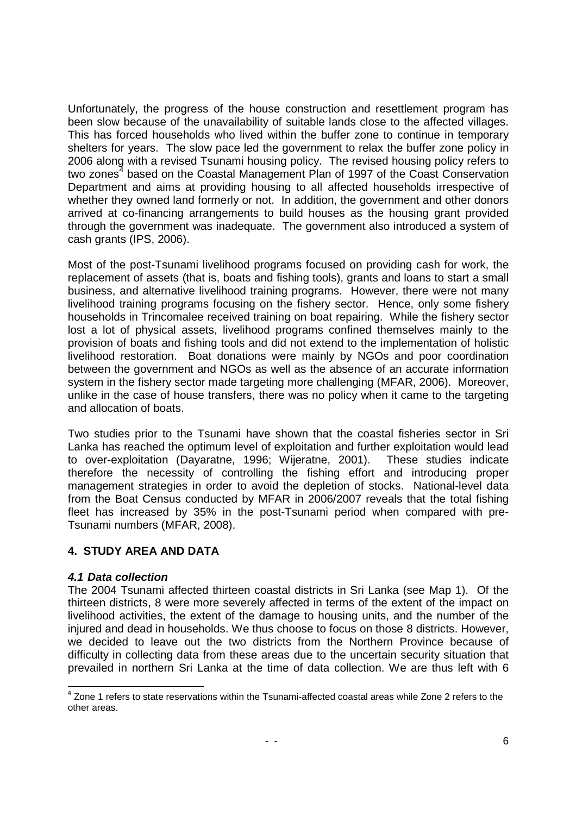Unfortunately, the progress of the house construction and resettlement program has been slow because of the unavailability of suitable lands close to the affected villages. This has forced households who lived within the buffer zone to continue in temporary shelters for years. The slow pace led the government to relax the buffer zone policy in 2006 along with a revised Tsunami housing policy. The revised housing policy refers to two zones<sup>4</sup> based on the Coastal Management Plan of 1997 of the Coast Conservation Department and aims at providing housing to all affected households irrespective of whether they owned land formerly or not. In addition, the government and other donors arrived at co-financing arrangements to build houses as the housing grant provided through the government was inadequate. The government also introduced a system of cash grants (IPS, 2006).

Most of the post-Tsunami livelihood programs focused on providing cash for work, the replacement of assets (that is, boats and fishing tools), grants and loans to start a small business, and alternative livelihood training programs. However, there were not many livelihood training programs focusing on the fishery sector. Hence, only some fishery households in Trincomalee received training on boat repairing. While the fishery sector lost a lot of physical assets, livelihood programs confined themselves mainly to the provision of boats and fishing tools and did not extend to the implementation of holistic livelihood restoration. Boat donations were mainly by NGOs and poor coordination between the government and NGOs as well as the absence of an accurate information system in the fishery sector made targeting more challenging (MFAR, 2006). Moreover, unlike in the case of house transfers, there was no policy when it came to the targeting and allocation of boats.

Two studies prior to the Tsunami have shown that the coastal fisheries sector in Sri Lanka has reached the optimum level of exploitation and further exploitation would lead to over-exploitation (Dayaratne, 1996; Wijeratne, 2001). These studies indicate therefore the necessity of controlling the fishing effort and introducing proper management strategies in order to avoid the depletion of stocks. National-level data from the Boat Census conducted by MFAR in 2006/2007 reveals that the total fishing fleet has increased by 35% in the post-Tsunami period when compared with pre-Tsunami numbers (MFAR, 2008).

## **4. STUDY AREA AND DATA**

## **4.1 Data collection**

The 2004 Tsunami affected thirteen coastal districts in Sri Lanka (see Map 1). Of the thirteen districts, 8 were more severely affected in terms of the extent of the impact on livelihood activities, the extent of the damage to housing units, and the number of the injured and dead in households. We thus choose to focus on those 8 districts. However, we decided to leave out the two districts from the Northern Province because of difficulty in collecting data from these areas due to the uncertain security situation that prevailed in northern Sri Lanka at the time of data collection. We are thus left with 6

<sup>1</sup> <sup>4</sup> Zone 1 refers to state reservations within the Tsunami-affected coastal areas while Zone 2 refers to the other areas.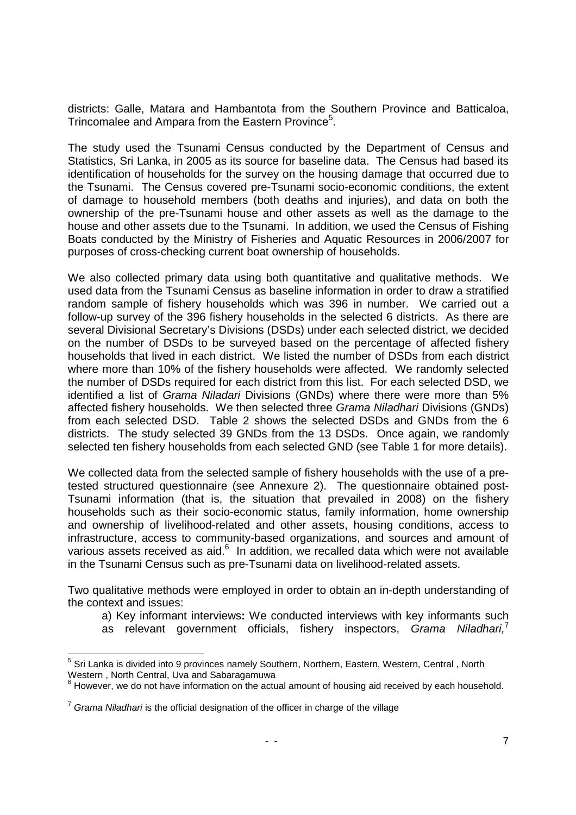districts: Galle, Matara and Hambantota from the Southern Province and Batticaloa, Trincomalee and Ampara from the Eastern Province<sup>5</sup>.

The study used the Tsunami Census conducted by the Department of Census and Statistics, Sri Lanka, in 2005 as its source for baseline data. The Census had based its identification of households for the survey on the housing damage that occurred due to the Tsunami. The Census covered pre-Tsunami socio-economic conditions, the extent of damage to household members (both deaths and injuries), and data on both the ownership of the pre-Tsunami house and other assets as well as the damage to the house and other assets due to the Tsunami. In addition, we used the Census of Fishing Boats conducted by the Ministry of Fisheries and Aquatic Resources in 2006/2007 for purposes of cross-checking current boat ownership of households.

We also collected primary data using both quantitative and qualitative methods. We used data from the Tsunami Census as baseline information in order to draw a stratified random sample of fishery households which was 396 in number. We carried out a follow-up survey of the 396 fishery households in the selected 6 districts. As there are several Divisional Secretary's Divisions (DSDs) under each selected district, we decided on the number of DSDs to be surveyed based on the percentage of affected fishery households that lived in each district. We listed the number of DSDs from each district where more than 10% of the fishery households were affected. We randomly selected the number of DSDs required for each district from this list. For each selected DSD, we identified a list of Grama Niladari Divisions (GNDs) where there were more than 5% affected fishery households. We then selected three Grama Niladhari Divisions (GNDs) from each selected DSD. Table 2 shows the selected DSDs and GNDs from the 6 districts. The study selected 39 GNDs from the 13 DSDs. Once again, we randomly selected ten fishery households from each selected GND (see Table 1 for more details).

We collected data from the selected sample of fishery households with the use of a pretested structured questionnaire (see Annexure 2). The questionnaire obtained post-Tsunami information (that is, the situation that prevailed in 2008) on the fishery households such as their socio-economic status, family information, home ownership and ownership of livelihood-related and other assets, housing conditions, access to infrastructure, access to community-based organizations, and sources and amount of various assets received as aid.<sup>6</sup> In addition, we recalled data which were not available in the Tsunami Census such as pre-Tsunami data on livelihood-related assets.

Two qualitative methods were employed in order to obtain an in-depth understanding of the context and issues:

- a) Key informant interviews**:** We conducted interviews with key informants such
- as relevant government officials, fishery inspectors, Grama Niladhari,

 5 Sri Lanka is divided into 9 provinces namely Southern, Northern, Eastern, Western, Central , North Western , North Central, Uva and Sabaragamuwa

<sup>&</sup>lt;sup>6</sup> However, we do not have information on the actual amount of housing aid received by each household.

 $7$  Grama Niladhari is the official designation of the officer in charge of the village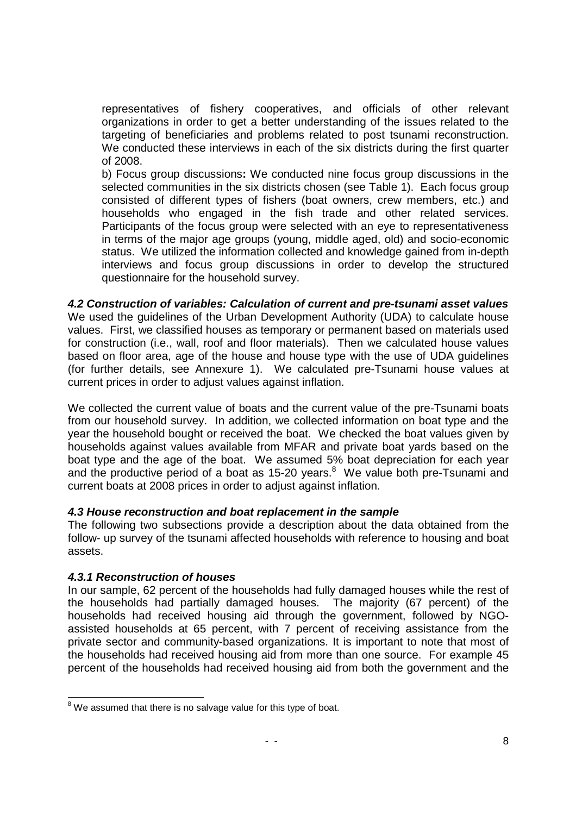representatives of fishery cooperatives, and officials of other relevant organizations in order to get a better understanding of the issues related to the targeting of beneficiaries and problems related to post tsunami reconstruction. We conducted these interviews in each of the six districts during the first quarter of 2008.

b) Focus group discussions**:** We conducted nine focus group discussions in the selected communities in the six districts chosen (see Table 1). Each focus group consisted of different types of fishers (boat owners, crew members, etc.) and households who engaged in the fish trade and other related services. Participants of the focus group were selected with an eye to representativeness in terms of the major age groups (young, middle aged, old) and socio-economic status. We utilized the information collected and knowledge gained from in-depth interviews and focus group discussions in order to develop the structured questionnaire for the household survey.

**4.2 Construction of variables: Calculation of current and pre-tsunami asset values**  We used the guidelines of the Urban Development Authority (UDA) to calculate house values. First, we classified houses as temporary or permanent based on materials used for construction (i.e., wall, roof and floor materials). Then we calculated house values based on floor area, age of the house and house type with the use of UDA guidelines (for further details, see Annexure 1). We calculated pre-Tsunami house values at current prices in order to adjust values against inflation.

We collected the current value of boats and the current value of the pre-Tsunami boats from our household survey. In addition, we collected information on boat type and the year the household bought or received the boat. We checked the boat values given by households against values available from MFAR and private boat yards based on the boat type and the age of the boat. We assumed 5% boat depreciation for each year and the productive period of a boat as 15-20 years. $8$  We value both pre-Tsunami and current boats at 2008 prices in order to adjust against inflation.

## **4.3 House reconstruction and boat replacement in the sample**

The following two subsections provide a description about the data obtained from the follow- up survey of the tsunami affected households with reference to housing and boat assets.

## **4.3.1 Reconstruction of houses**

In our sample, 62 percent of the households had fully damaged houses while the rest of the households had partially damaged houses. The majority (67 percent) of the households had received housing aid through the government, followed by NGOassisted households at 65 percent, with 7 percent of receiving assistance from the private sector and community-based organizations. It is important to note that most of the households had received housing aid from more than one source. For example 45 percent of the households had received housing aid from both the government and the

The mannolen and the mannolen and the mannolen and the mannolen assumed that there is no salvage value for this type of boat.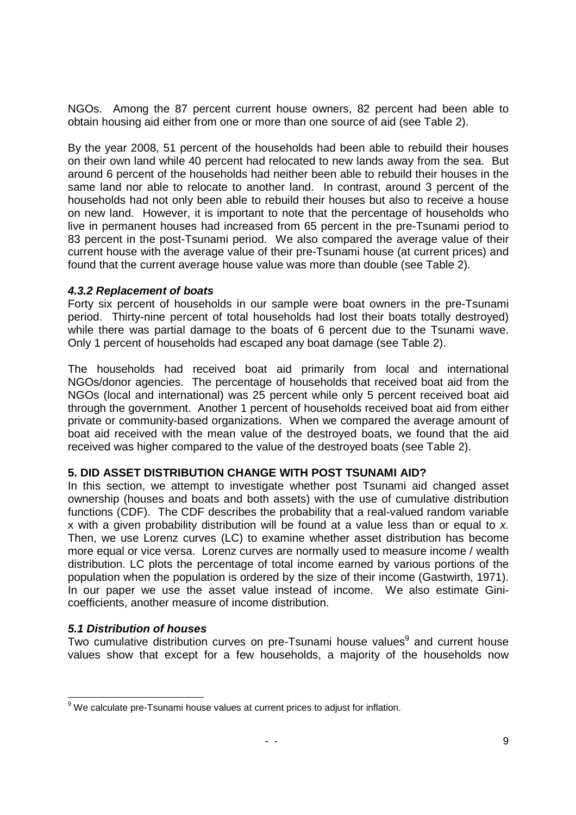NGOs. Among the 87 percent current house owners, 82 percent had been able to obtain housing aid either from one or more than one source of aid (see Table 2).

By the year 2008, 51 percent of the households had been able to rebuild their houses on their own land while 40 percent had relocated to new lands away from the sea. But around 6 percent of the households had neither been able to rebuild their houses in the same land nor able to relocate to another land. In contrast, around 3 percent of the households had not only been able to rebuild their houses but also to receive a house on new land. However, it is important to note that the percentage of households who live in permanent houses had increased from 65 percent in the pre-Tsunami period to 83 percent in the post-Tsunami period. We also compared the average value of their current house with the average value of their pre-Tsunami house (at current prices) and found that the current average house value was more than double (see Table 2).

#### **4.3.2 Replacement of boats**

Forty six percent of households in our sample were boat owners in the pre-Tsunami period. Thirty-nine percent of total households had lost their boats totally destroyed) while there was partial damage to the boats of 6 percent due to the Tsunami wave. Only 1 percent of households had escaped any boat damage (see Table 2).

The households had received boat aid primarily from local and international NGOs/donor agencies. The percentage of households that received boat aid from the NGOs (local and international) was 25 percent while only 5 percent received boat aid through the government. Another 1 percent of households received boat aid from either private or community-based organizations. When we compared the average amount of boat aid received with the mean value of the destroyed boats, we found that the aid received was higher compared to the value of the destroyed boats (see Table 2).

#### **5. DID ASSET DISTRIBUTION CHANGE WITH POST TSUNAMI AID?**

In this section, we attempt to investigate whether post Tsunami aid changed asset ownership (houses and boats and both assets) with the use of cumulative distribution functions (CDF). The CDF describes the probability that a real-valued random variable x with a given probability distribution will be found at a value less than or equal to x. Then, we use Lorenz curves (LC) to examine whether asset distribution has become more equal or vice versa. Lorenz curves are normally used to measure income / wealth distribution. LC plots the percentage of total income earned by various portions of the population when the population is ordered by the size of their income (Gastwirth, 1971). In our paper we use the asset value instead of income. We also estimate Ginicoefficients, another measure of income distribution.

## **5.1 Distribution of houses**

Two cumulative distribution curves on pre-Tsunami house values<sup>9</sup> and current house values show that except for a few households, a majority of the households now

 9 We calculate pre-Tsunami house values at current prices to adjust for inflation.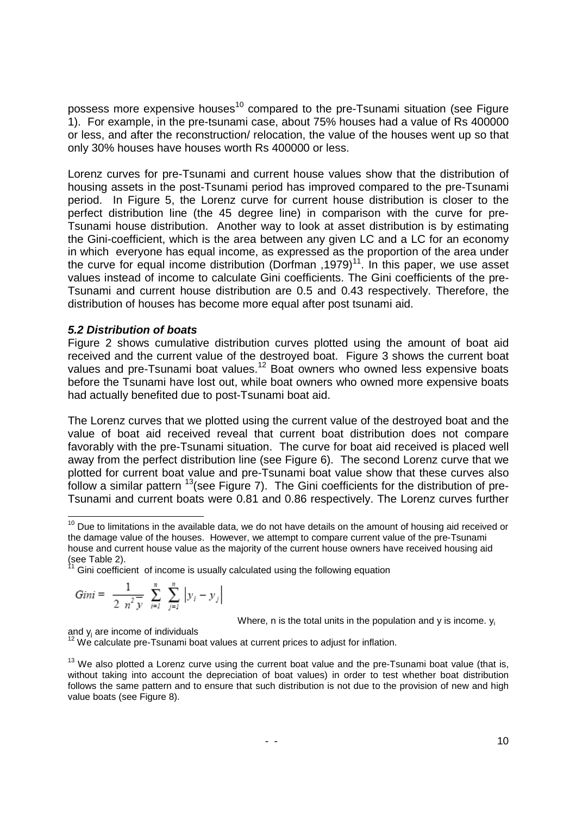possess more expensive houses<sup>10</sup> compared to the pre-Tsunami situation (see Figure 1). For example, in the pre-tsunami case, about 75% houses had a value of Rs 400000 or less, and after the reconstruction/ relocation, the value of the houses went up so that only 30% houses have houses worth Rs 400000 or less.

Lorenz curves for pre-Tsunami and current house values show that the distribution of housing assets in the post-Tsunami period has improved compared to the pre-Tsunami period. In Figure 5, the Lorenz curve for current house distribution is closer to the perfect distribution line (the 45 degree line) in comparison with the curve for pre-Tsunami house distribution. Another way to look at asset distribution is by estimating the Gini-coefficient, which is the area between any given LC and a LC for an economy in which everyone has equal income, as expressed as the proportion of the area under the curve for equal income distribution (Dorfman , 1979)<sup>11</sup>. In this paper, we use asset values instead of income to calculate Gini coefficients. The Gini coefficients of the pre-Tsunami and current house distribution are 0.5 and 0.43 respectively. Therefore, the distribution of houses has become more equal after post tsunami aid.

### **5.2 Distribution of boats**

Figure 2 shows cumulative distribution curves plotted using the amount of boat aid received and the current value of the destroyed boat. Figure 3 shows the current boat values and pre-Tsunami boat values.<sup>12</sup> Boat owners who owned less expensive boats before the Tsunami have lost out, while boat owners who owned more expensive boats had actually benefited due to post-Tsunami boat aid.

The Lorenz curves that we plotted using the current value of the destroyed boat and the value of boat aid received reveal that current boat distribution does not compare favorably with the pre-Tsunami situation. The curve for boat aid received is placed well away from the perfect distribution line (see Figure 6). The second Lorenz curve that we plotted for current boat value and pre-Tsunami boat value show that these curves also follow a similar pattern  $13$  (see Figure 7). The Gini coefficients for the distribution of pre-Tsunami and current boats were 0.81 and 0.86 respectively. The Lorenz curves further

 $11$  Gini coefficient of income is usually calculated using the following equation

$$
Gini = \frac{1}{2 n^{2} y} \sum_{i=1}^{n} \sum_{j=1}^{n} |y_{i} - y_{j}|
$$

Where, n is the total units in the population and  $y$  is income.  $y_i$ 

and y<sup>j</sup> are income of individuals

<sup>-</sup><sup>10</sup> Due to limitations in the available data, we do not have details on the amount of housing aid received or the damage value of the houses. However, we attempt to compare current value of the pre-Tsunami house and current house value as the majority of the current house owners have received housing aid (see Table 2).

 $12$  We calculate pre-Tsunami boat values at current prices to adjust for inflation.

 $13$  We also plotted a Lorenz curve using the current boat value and the pre-Tsunami boat value (that is, without taking into account the depreciation of boat values) in order to test whether boat distribution follows the same pattern and to ensure that such distribution is not due to the provision of new and high value boats (see Figure 8).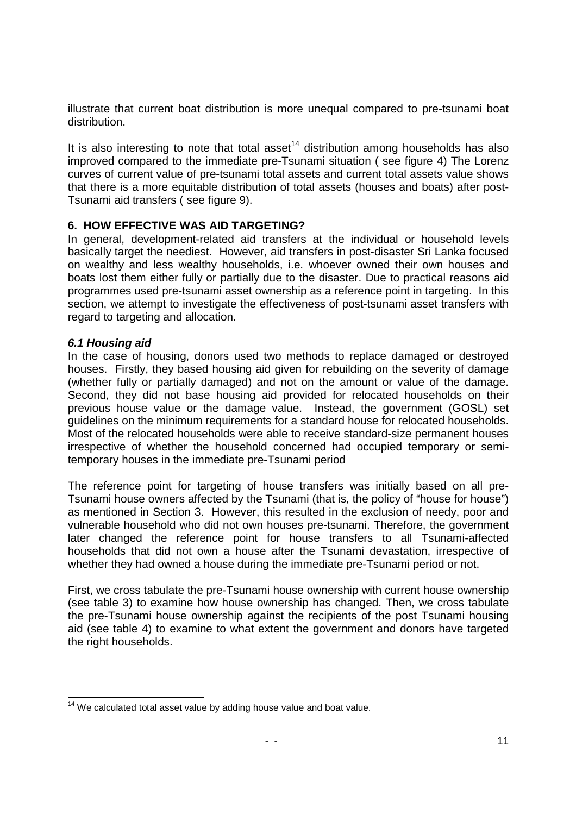illustrate that current boat distribution is more unequal compared to pre-tsunami boat distribution.

It is also interesting to note that total asset<sup>14</sup> distribution among households has also improved compared to the immediate pre-Tsunami situation ( see figure 4) The Lorenz curves of current value of pre-tsunami total assets and current total assets value shows that there is a more equitable distribution of total assets (houses and boats) after post-Tsunami aid transfers ( see figure 9).

### **6. HOW EFFECTIVE WAS AID TARGETING?**

In general, development-related aid transfers at the individual or household levels basically target the neediest. However, aid transfers in post-disaster Sri Lanka focused on wealthy and less wealthy households, i.e. whoever owned their own houses and boats lost them either fully or partially due to the disaster. Due to practical reasons aid programmes used pre-tsunami asset ownership as a reference point in targeting. In this section, we attempt to investigate the effectiveness of post-tsunami asset transfers with regard to targeting and allocation.

#### **6.1 Housing aid**

In the case of housing, donors used two methods to replace damaged or destroyed houses. Firstly, they based housing aid given for rebuilding on the severity of damage (whether fully or partially damaged) and not on the amount or value of the damage. Second, they did not base housing aid provided for relocated households on their previous house value or the damage value. Instead, the government (GOSL) set guidelines on the minimum requirements for a standard house for relocated households. Most of the relocated households were able to receive standard-size permanent houses irrespective of whether the household concerned had occupied temporary or semitemporary houses in the immediate pre-Tsunami period

The reference point for targeting of house transfers was initially based on all pre-Tsunami house owners affected by the Tsunami (that is, the policy of "house for house") as mentioned in Section 3. However, this resulted in the exclusion of needy, poor and vulnerable household who did not own houses pre-tsunami. Therefore, the government later changed the reference point for house transfers to all Tsunami-affected households that did not own a house after the Tsunami devastation, irrespective of whether they had owned a house during the immediate pre-Tsunami period or not.

First, we cross tabulate the pre-Tsunami house ownership with current house ownership (see table 3) to examine how house ownership has changed. Then, we cross tabulate the pre-Tsunami house ownership against the recipients of the post Tsunami housing aid (see table 4) to examine to what extent the government and donors have targeted the right households.

<sup>1</sup>  $14$  We calculated total asset value by adding house value and boat value.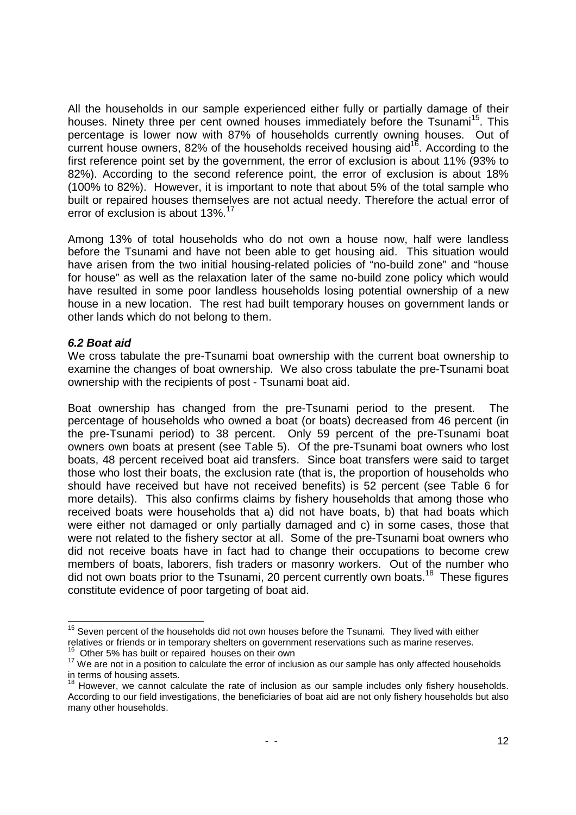All the households in our sample experienced either fully or partially damage of their houses. Ninety three per cent owned houses immediately before the Tsunami<sup>15</sup>. This percentage is lower now with 87% of households currently owning houses. Out of current house owners, 82% of the households received housing aid<sup>16</sup>. According to the first reference point set by the government, the error of exclusion is about 11% (93% to 82%). According to the second reference point, the error of exclusion is about 18% (100% to 82%). However, it is important to note that about 5% of the total sample who built or repaired houses themselves are not actual needy. Therefore the actual error of error of exclusion is about 13%.<sup>17</sup>

Among 13% of total households who do not own a house now, half were landless before the Tsunami and have not been able to get housing aid. This situation would have arisen from the two initial housing-related policies of "no-build zone" and "house for house" as well as the relaxation later of the same no-build zone policy which would have resulted in some poor landless households losing potential ownership of a new house in a new location. The rest had built temporary houses on government lands or other lands which do not belong to them.

### **6.2 Boat aid**

1

We cross tabulate the pre-Tsunami boat ownership with the current boat ownership to examine the changes of boat ownership. We also cross tabulate the pre-Tsunami boat ownership with the recipients of post - Tsunami boat aid.

Boat ownership has changed from the pre-Tsunami period to the present. The percentage of households who owned a boat (or boats) decreased from 46 percent (in the pre-Tsunami period) to 38 percent. Only 59 percent of the pre-Tsunami boat owners own boats at present (see Table 5). Of the pre-Tsunami boat owners who lost boats, 48 percent received boat aid transfers. Since boat transfers were said to target those who lost their boats, the exclusion rate (that is, the proportion of households who should have received but have not received benefits) is 52 percent (see Table 6 for more details). This also confirms claims by fishery households that among those who received boats were households that a) did not have boats, b) that had boats which were either not damaged or only partially damaged and c) in some cases, those that were not related to the fishery sector at all. Some of the pre-Tsunami boat owners who did not receive boats have in fact had to change their occupations to become crew members of boats, laborers, fish traders or masonry workers. Out of the number who did not own boats prior to the Tsunami, 20 percent currently own boats.<sup>18</sup> These figures constitute evidence of poor targeting of boat aid.

Other 5% has built or repaired houses on their own

 $15$  Seven percent of the households did not own houses before the Tsunami. They lived with either relatives or friends or in temporary shelters on government reservations such as marine reserves.

 $17$  We are not in a position to calculate the error of inclusion as our sample has only affected households in terms of housing assets.

 $18$  However, we cannot calculate the rate of inclusion as our sample includes only fishery households. According to our field investigations, the beneficiaries of boat aid are not only fishery households but also many other households.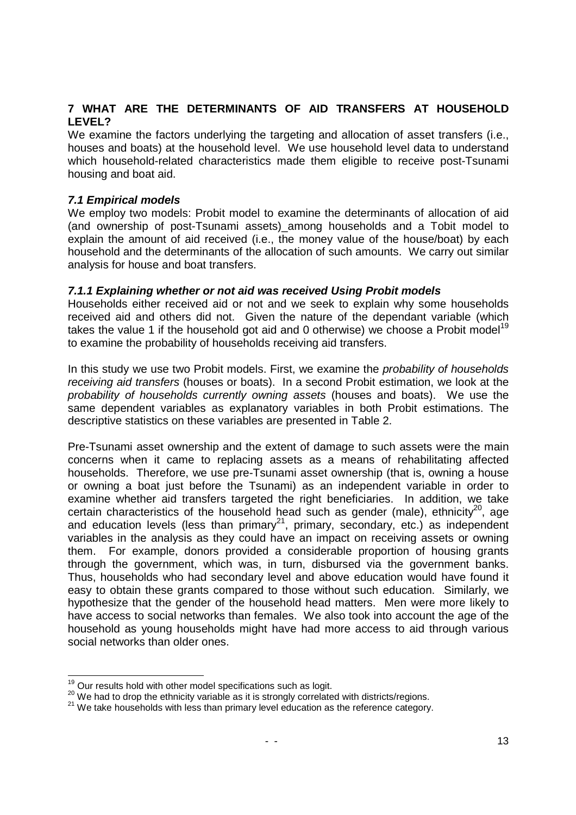# **7 WHAT ARE THE DETERMINANTS OF AID TRANSFERS AT HOUSEHOLD LEVEL?**

We examine the factors underlying the targeting and allocation of asset transfers (i.e., houses and boats) at the household level. We use household level data to understand which household-related characteristics made them eligible to receive post-Tsunami housing and boat aid.

### **7.1 Empirical models**

We employ two models: Probit model to examine the determinants of allocation of aid (and ownership of post-Tsunami assets)\_among households and a Tobit model to explain the amount of aid received (i.e., the money value of the house/boat) by each household and the determinants of the allocation of such amounts. We carry out similar analysis for house and boat transfers.

### **7.1.1 Explaining whether or not aid was received Using Probit models**

Households either received aid or not and we seek to explain why some households received aid and others did not. Given the nature of the dependant variable (which takes the value 1 if the household got aid and 0 otherwise) we choose a Probit model<sup>19</sup> to examine the probability of households receiving aid transfers.

In this study we use two Probit models. First, we examine the *probability of households* receiving aid transfers (houses or boats). In a second Probit estimation, we look at the probability of households currently owning assets (houses and boats). We use the same dependent variables as explanatory variables in both Probit estimations. The descriptive statistics on these variables are presented in Table 2.

Pre-Tsunami asset ownership and the extent of damage to such assets were the main concerns when it came to replacing assets as a means of rehabilitating affected households. Therefore, we use pre-Tsunami asset ownership (that is, owning a house or owning a boat just before the Tsunami) as an independent variable in order to examine whether aid transfers targeted the right beneficiaries. In addition, we take certain characteristics of the household head such as gender (male), ethnicity<sup>20</sup>, age and education levels (less than primary $2^1$ , primary, secondary, etc.) as independent variables in the analysis as they could have an impact on receiving assets or owning them. For example, donors provided a considerable proportion of housing grants through the government, which was, in turn, disbursed via the government banks. Thus, households who had secondary level and above education would have found it easy to obtain these grants compared to those without such education. Similarly, we hypothesize that the gender of the household head matters. Men were more likely to have access to social networks than females. We also took into account the age of the household as young households might have had more access to aid through various social networks than older ones.

 $19$  Our results hold with other model specifications such as logit.

<sup>&</sup>lt;sup>20</sup> We had to drop the ethnicity variable as it is strongly correlated with districts/regions.

<sup>&</sup>lt;sup>21</sup> We take households with less than primary level education as the reference category.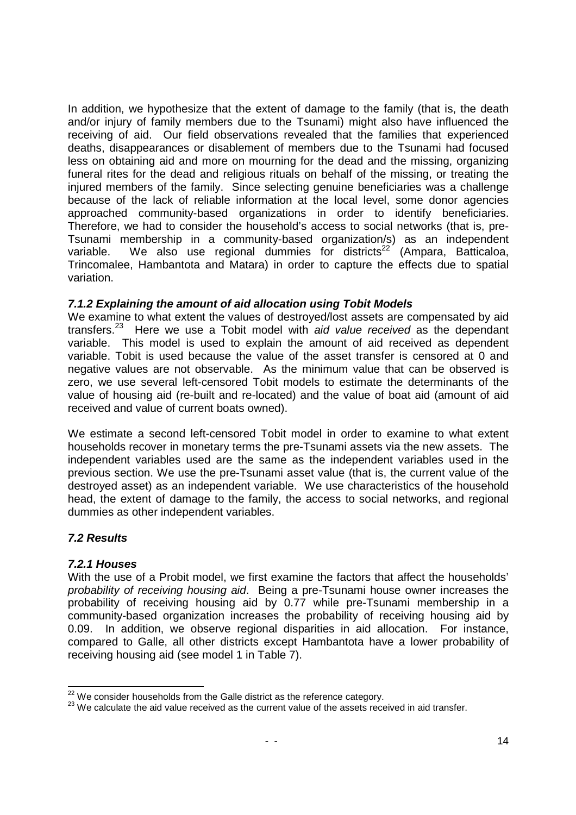In addition, we hypothesize that the extent of damage to the family (that is, the death and/or injury of family members due to the Tsunami) might also have influenced the receiving of aid. Our field observations revealed that the families that experienced deaths, disappearances or disablement of members due to the Tsunami had focused less on obtaining aid and more on mourning for the dead and the missing, organizing funeral rites for the dead and religious rituals on behalf of the missing, or treating the injured members of the family. Since selecting genuine beneficiaries was a challenge because of the lack of reliable information at the local level, some donor agencies approached community-based organizations in order to identify beneficiaries. Therefore, we had to consider the household's access to social networks (that is, pre-Tsunami membership in a community-based organization/s) as an independent variable. We also use regional dummies for districts<sup>22</sup> (Ampara, Batticaloa, Trincomalee, Hambantota and Matara) in order to capture the effects due to spatial variation.

## **7.1.2 Explaining the amount of aid allocation using Tobit Models**

We examine to what extent the values of destroyed/lost assets are compensated by aid transfers. $23$  Here we use a Tobit model with aid value received as the dependant variable. This model is used to explain the amount of aid received as dependent variable. Tobit is used because the value of the asset transfer is censored at 0 and negative values are not observable. As the minimum value that can be observed is zero, we use several left-censored Tobit models to estimate the determinants of the value of housing aid (re-built and re-located) and the value of boat aid (amount of aid received and value of current boats owned).

We estimate a second left-censored Tobit model in order to examine to what extent households recover in monetary terms the pre-Tsunami assets via the new assets. The independent variables used are the same as the independent variables used in the previous section. We use the pre-Tsunami asset value (that is, the current value of the destroyed asset) as an independent variable. We use characteristics of the household head, the extent of damage to the family, the access to social networks, and regional dummies as other independent variables.

## **7.2 Results**

## **7.2.1 Houses**

With the use of a Probit model, we first examine the factors that affect the households' probability of receiving housing aid. Being a pre-Tsunami house owner increases the probability of receiving housing aid by 0.77 while pre-Tsunami membership in a community-based organization increases the probability of receiving housing aid by 0.09. In addition, we observe regional disparities in aid allocation. For instance, compared to Galle, all other districts except Hambantota have a lower probability of receiving housing aid (see model 1 in Table 7).

<sup>1</sup>  $22$  We consider households from the Galle district as the reference category.

<sup>&</sup>lt;sup>23</sup> We calculate the aid value received as the current value of the assets received in aid transfer.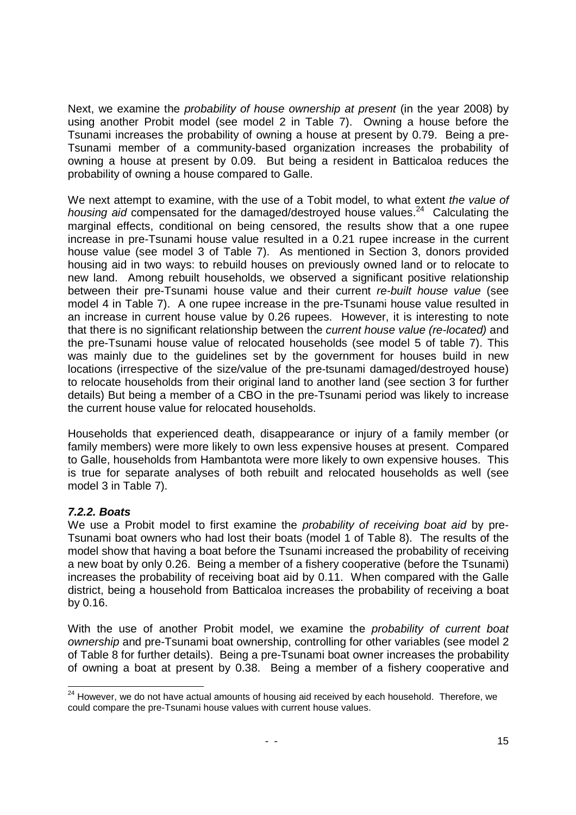Next, we examine the probability of house ownership at present (in the year 2008) by using another Probit model (see model 2 in Table 7). Owning a house before the Tsunami increases the probability of owning a house at present by 0.79. Being a pre-Tsunami member of a community-based organization increases the probability of owning a house at present by 0.09. But being a resident in Batticaloa reduces the probability of owning a house compared to Galle.

We next attempt to examine, with the use of a Tobit model, to what extent the value of housing aid compensated for the damaged/destroyed house values.<sup>24</sup> Calculating the marginal effects, conditional on being censored, the results show that a one rupee increase in pre-Tsunami house value resulted in a 0.21 rupee increase in the current house value (see model 3 of Table 7). As mentioned in Section 3, donors provided housing aid in two ways: to rebuild houses on previously owned land or to relocate to new land. Among rebuilt households, we observed a significant positive relationship between their pre-Tsunami house value and their current re-built house value (see model 4 in Table 7). A one rupee increase in the pre-Tsunami house value resulted in an increase in current house value by 0.26 rupees. However, it is interesting to note that there is no significant relationship between the current house value (re-located) and the pre-Tsunami house value of relocated households (see model 5 of table 7). This was mainly due to the guidelines set by the government for houses build in new locations (irrespective of the size/value of the pre-tsunami damaged/destroyed house) to relocate households from their original land to another land (see section 3 for further details) But being a member of a CBO in the pre-Tsunami period was likely to increase the current house value for relocated households.

Households that experienced death, disappearance or injury of a family member (or family members) were more likely to own less expensive houses at present. Compared to Galle, households from Hambantota were more likely to own expensive houses. This is true for separate analyses of both rebuilt and relocated households as well (see model 3 in Table 7).

## **7.2.2. Boats**

We use a Probit model to first examine the *probability of receiving boat aid* by pre-Tsunami boat owners who had lost their boats (model 1 of Table 8). The results of the model show that having a boat before the Tsunami increased the probability of receiving a new boat by only 0.26. Being a member of a fishery cooperative (before the Tsunami) increases the probability of receiving boat aid by 0.11. When compared with the Galle district, being a household from Batticaloa increases the probability of receiving a boat by 0.16.

With the use of another Probit model, we examine the *probability of current boat* ownership and pre-Tsunami boat ownership, controlling for other variables (see model 2 of Table 8 for further details). Being a pre-Tsunami boat owner increases the probability of owning a boat at present by 0.38. Being a member of a fishery cooperative and

<sup>1</sup>  $24$  However, we do not have actual amounts of housing aid received by each household. Therefore, we could compare the pre-Tsunami house values with current house values.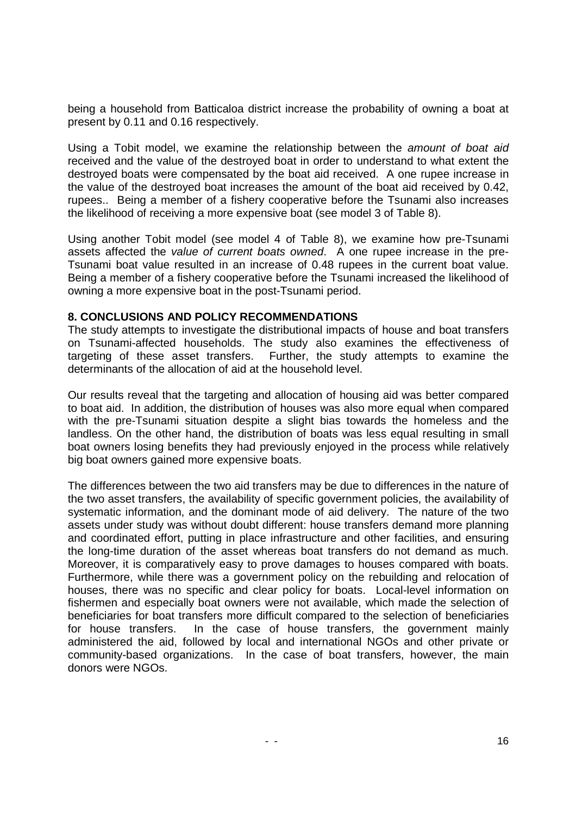being a household from Batticaloa district increase the probability of owning a boat at present by 0.11 and 0.16 respectively.

Using a Tobit model, we examine the relationship between the *amount of boat aid* received and the value of the destroyed boat in order to understand to what extent the destroyed boats were compensated by the boat aid received. A one rupee increase in the value of the destroyed boat increases the amount of the boat aid received by 0.42, rupees.. Being a member of a fishery cooperative before the Tsunami also increases the likelihood of receiving a more expensive boat (see model 3 of Table 8).

Using another Tobit model (see model 4 of Table 8), we examine how pre-Tsunami assets affected the value of current boats owned. A one rupee increase in the pre-Tsunami boat value resulted in an increase of 0.48 rupees in the current boat value. Being a member of a fishery cooperative before the Tsunami increased the likelihood of owning a more expensive boat in the post-Tsunami period.

#### **8. CONCLUSIONS AND POLICY RECOMMENDATIONS**

The study attempts to investigate the distributional impacts of house and boat transfers on Tsunami-affected households. The study also examines the effectiveness of targeting of these asset transfers. Further, the study attempts to examine the determinants of the allocation of aid at the household level.

Our results reveal that the targeting and allocation of housing aid was better compared to boat aid. In addition, the distribution of houses was also more equal when compared with the pre-Tsunami situation despite a slight bias towards the homeless and the landless. On the other hand, the distribution of boats was less equal resulting in small boat owners losing benefits they had previously enjoyed in the process while relatively big boat owners gained more expensive boats.

The differences between the two aid transfers may be due to differences in the nature of the two asset transfers, the availability of specific government policies, the availability of systematic information, and the dominant mode of aid delivery. The nature of the two assets under study was without doubt different: house transfers demand more planning and coordinated effort, putting in place infrastructure and other facilities, and ensuring the long-time duration of the asset whereas boat transfers do not demand as much. Moreover, it is comparatively easy to prove damages to houses compared with boats. Furthermore, while there was a government policy on the rebuilding and relocation of houses, there was no specific and clear policy for boats. Local-level information on fishermen and especially boat owners were not available, which made the selection of beneficiaries for boat transfers more difficult compared to the selection of beneficiaries for house transfers. In the case of house transfers, the government mainly administered the aid, followed by local and international NGOs and other private or community-based organizations. In the case of boat transfers, however, the main donors were NGOs.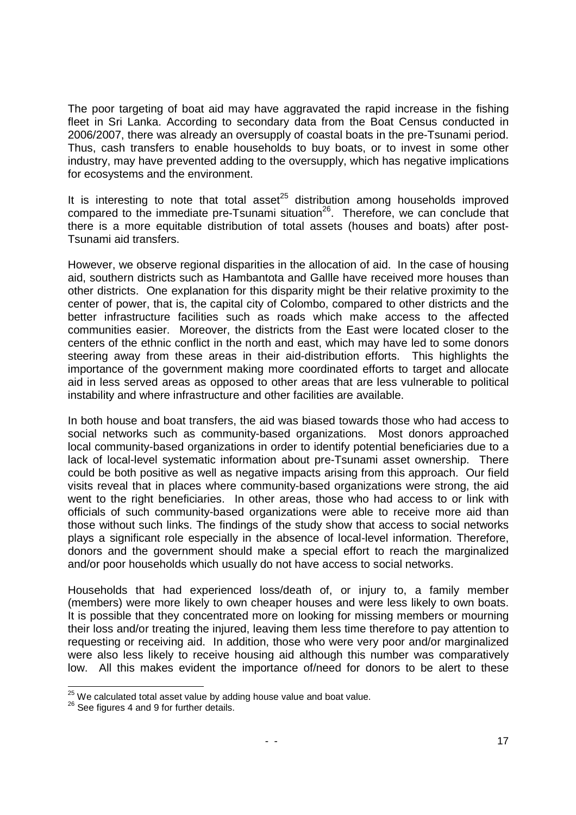The poor targeting of boat aid may have aggravated the rapid increase in the fishing fleet in Sri Lanka. According to secondary data from the Boat Census conducted in 2006/2007, there was already an oversupply of coastal boats in the pre-Tsunami period. Thus, cash transfers to enable households to buy boats, or to invest in some other industry, may have prevented adding to the oversupply, which has negative implications for ecosystems and the environment.

It is interesting to note that total asset $^{25}$  distribution among households improved compared to the immediate pre-Tsunami situation<sup>26</sup>. Therefore, we can conclude that there is a more equitable distribution of total assets (houses and boats) after post-Tsunami aid transfers.

However, we observe regional disparities in the allocation of aid. In the case of housing aid, southern districts such as Hambantota and Gallle have received more houses than other districts. One explanation for this disparity might be their relative proximity to the center of power, that is, the capital city of Colombo, compared to other districts and the better infrastructure facilities such as roads which make access to the affected communities easier. Moreover, the districts from the East were located closer to the centers of the ethnic conflict in the north and east, which may have led to some donors steering away from these areas in their aid-distribution efforts. This highlights the importance of the government making more coordinated efforts to target and allocate aid in less served areas as opposed to other areas that are less vulnerable to political instability and where infrastructure and other facilities are available.

In both house and boat transfers, the aid was biased towards those who had access to social networks such as community-based organizations. Most donors approached local community-based organizations in order to identify potential beneficiaries due to a lack of local-level systematic information about pre-Tsunami asset ownership. There could be both positive as well as negative impacts arising from this approach. Our field visits reveal that in places where community-based organizations were strong, the aid went to the right beneficiaries. In other areas, those who had access to or link with officials of such community-based organizations were able to receive more aid than those without such links. The findings of the study show that access to social networks plays a significant role especially in the absence of local-level information. Therefore, donors and the government should make a special effort to reach the marginalized and/or poor households which usually do not have access to social networks.

Households that had experienced loss/death of, or injury to, a family member (members) were more likely to own cheaper houses and were less likely to own boats. It is possible that they concentrated more on looking for missing members or mourning their loss and/or treating the injured, leaving them less time therefore to pay attention to requesting or receiving aid. In addition, those who were very poor and/or marginalized were also less likely to receive housing aid although this number was comparatively low. All this makes evident the importance of/need for donors to be alert to these

<sup>1</sup>  $25$  We calculated total asset value by adding house value and boat value.

<sup>&</sup>lt;sup>26</sup> See figures 4 and 9 for further details.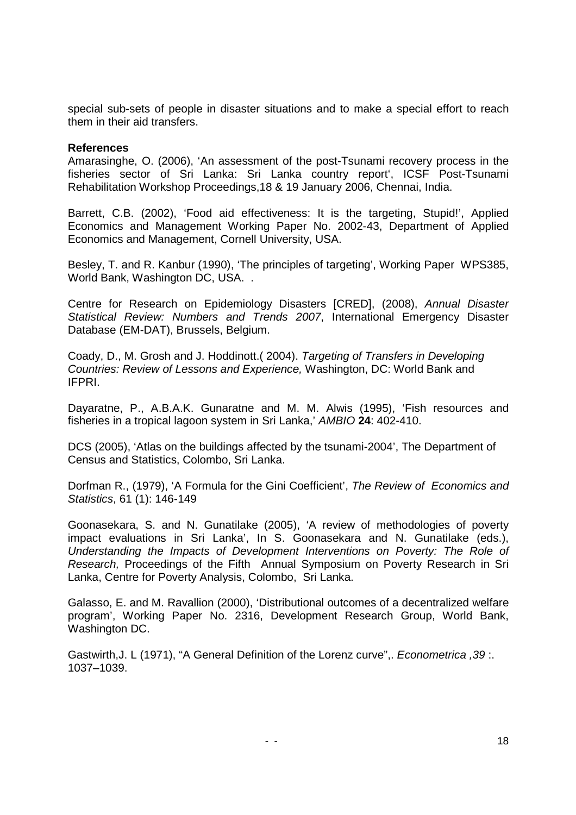special sub-sets of people in disaster situations and to make a special effort to reach them in their aid transfers.

#### **References**

Amarasinghe, O. (2006), 'An assessment of the post-Tsunami recovery process in the fisheries sector of Sri Lanka: Sri Lanka country report', ICSF Post-Tsunami Rehabilitation Workshop Proceedings,18 & 19 January 2006, Chennai, India.

Barrett, C.B. (2002), 'Food aid effectiveness: It is the targeting, Stupid!', Applied Economics and Management Working Paper No. 2002-43, Department of Applied Economics and Management, Cornell University, USA.

Besley, T. and R. Kanbur (1990), 'The principles of targeting', Working Paper WPS385, World Bank, Washington DC, USA. .

Centre for Research on Epidemiology Disasters [CRED], (2008), Annual Disaster Statistical Review: Numbers and Trends 2007, International Emergency Disaster Database (EM-DAT), Brussels, Belgium.

Coady, D., M. Grosh and J. Hoddinott.( 2004). Targeting of Transfers in Developing Countries: Review of Lessons and Experience, Washington, DC: World Bank and IFPRI.

Dayaratne, P., A.B.A.K. Gunaratne and M. M. Alwis (1995), 'Fish resources and fisheries in a tropical lagoon system in Sri Lanka,' AMBIO **24**: 402-410.

DCS (2005), 'Atlas on the buildings affected by the tsunami-2004', The Department of Census and Statistics, Colombo, Sri Lanka.

Dorfman R., (1979), 'A Formula for the Gini Coefficient', The Review of Economics and Statistics, 61 (1): 146-149

Goonasekara, S. and N. Gunatilake (2005), 'A review of methodologies of poverty impact evaluations in Sri Lanka', In S. Goonasekara and N. Gunatilake (eds.), Understanding the Impacts of Development Interventions on Poverty: The Role of Research, Proceedings of the Fifth Annual Symposium on Poverty Research in Sri Lanka, Centre for Poverty Analysis, Colombo, Sri Lanka.

Galasso, E. and M. Ravallion (2000), 'Distributional outcomes of a decentralized welfare program', Working Paper No. 2316, Development Research Group, World Bank, Washington DC.

Gastwirth,J. L (1971), "A General Definition of the Lorenz curve",. Econometrica ,39 :. 1037–1039.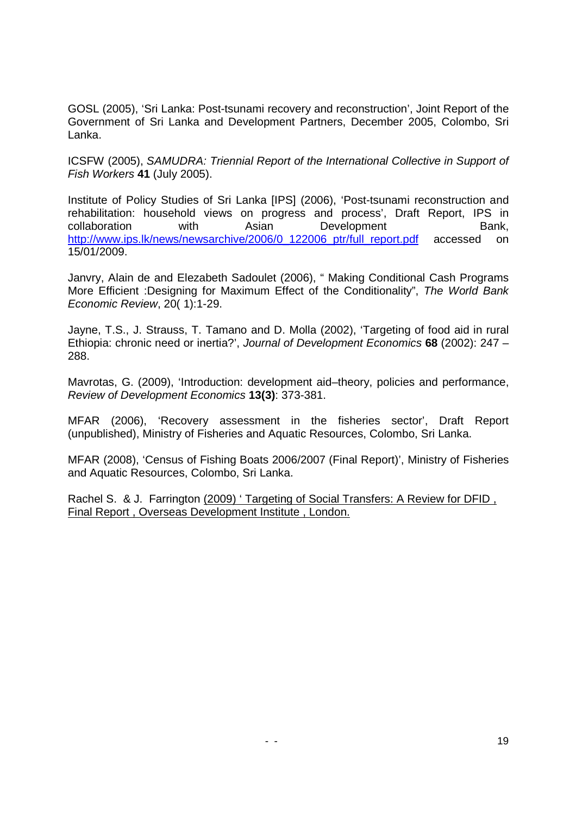GOSL (2005), 'Sri Lanka: Post-tsunami recovery and reconstruction', Joint Report of the Government of Sri Lanka and Development Partners, December 2005, Colombo, Sri Lanka.

ICSFW (2005), SAMUDRA: Triennial Report of the International Collective in Support of Fish Workers **41** (July 2005).

Institute of Policy Studies of Sri Lanka [IPS] (2006), 'Post-tsunami reconstruction and rehabilitation: household views on progress and process', Draft Report, IPS in collaboration with Asian Development Bank, http://www.ips.lk/news/newsarchive/2006/0\_122006\_ptr/full\_report.pdf accessed on 15/01/2009.

Janvry, Alain de and Elezabeth Sadoulet (2006), " Making Conditional Cash Programs More Efficient :Designing for Maximum Effect of the Conditionality", The World Bank Economic Review, 20( 1):1-29.

Jayne, T.S., J. Strauss, T. Tamano and D. Molla (2002), 'Targeting of food aid in rural Ethiopia: chronic need or inertia?', Journal of Development Economics **68** (2002): 247 – 288.

Mavrotas, G. (2009), 'Introduction: development aid–theory, policies and performance, Review of Development Economics **13(3)**: 373-381.

MFAR (2006), 'Recovery assessment in the fisheries sector', Draft Report (unpublished), Ministry of Fisheries and Aquatic Resources, Colombo, Sri Lanka.

MFAR (2008), 'Census of Fishing Boats 2006/2007 (Final Report)', Ministry of Fisheries and Aquatic Resources, Colombo, Sri Lanka.

Rachel S. & J. Farrington (2009) 'Targeting of Social Transfers: A Review for DFID, Final Report , Overseas Development Institute , London.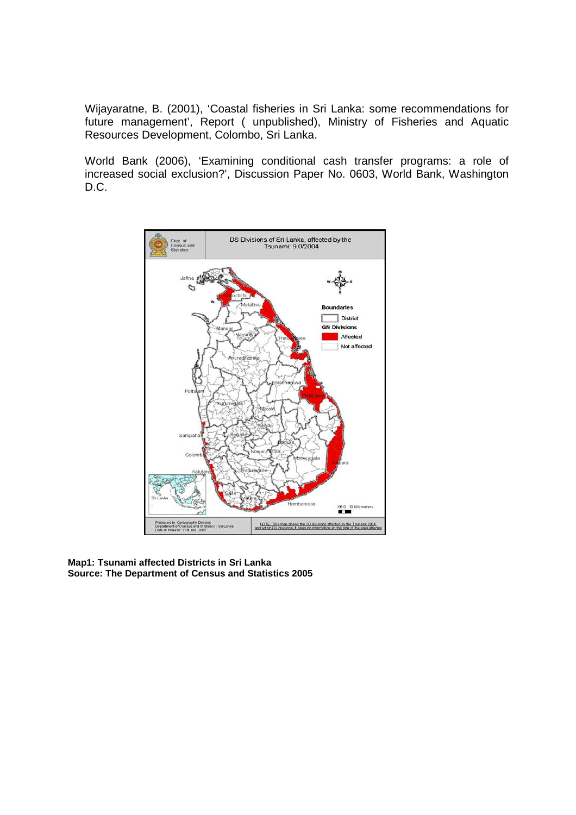Wijayaratne, B. (2001), 'Coastal fisheries in Sri Lanka: some recommendations for future management', Report ( unpublished), Ministry of Fisheries and Aquatic Resources Development, Colombo, Sri Lanka.

World Bank (2006), 'Examining conditional cash transfer programs: a role of increased social exclusion?', Discussion Paper No. 0603, World Bank, Washington D.C.



**Map1: Tsunami affected Districts in Sri Lanka Source: The Department of Census and Statistics 2005**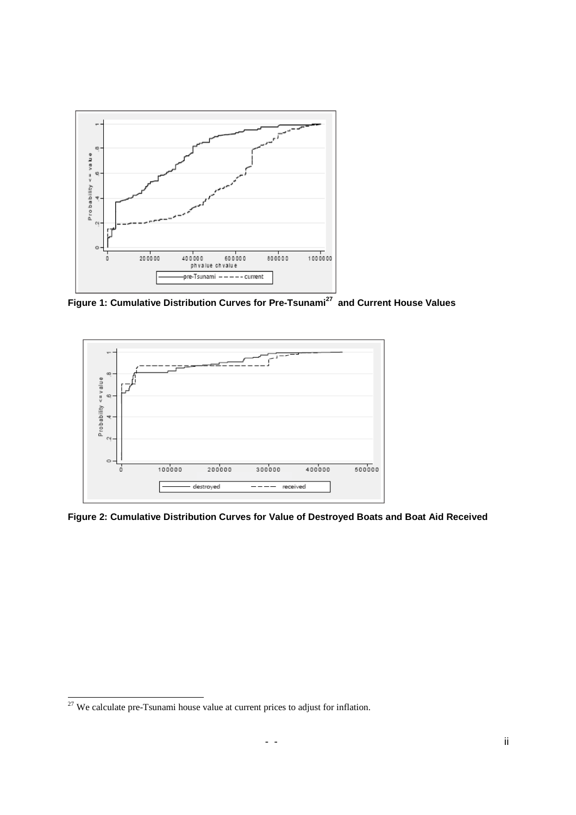

**Figure 1: Cumulative Distribution Curves for Pre-Tsunami<sup>27</sup> and Current House Values** 



**Figure 2: Cumulative Distribution Curves for Value of Destroyed Boats and Boat Aid Received** 

 $27$  We calculate pre-Tsunami house value at current prices to adjust for inflation.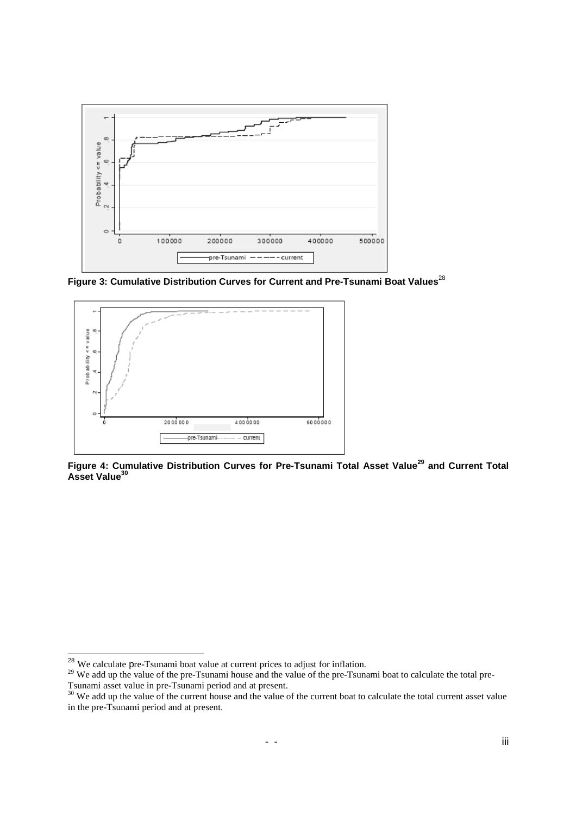

**Figure 3: Cumulative Distribution Curves for Current and Pre-Tsunami Boat Values**<sup>28</sup>



**Figure 4: Cumulative Distribution Curves for Pre-Tsunami Total Asset Value<sup>29</sup> and Current Total Asset Value<sup>30</sup>**

<sup>&</sup>lt;sup>28</sup> We calculate pre-Tsunami boat value at current prices to adjust for inflation.

<sup>&</sup>lt;sup>29</sup> We add up the value of the pre-Tsunami house and the value of the pre-Tsunami boat to calculate the total pre-Tsunami asset value in pre-Tsunami period and at present.

<sup>&</sup>lt;sup>30</sup> We add up the value of the current house and the value of the current boat to calculate the total current asset value in the pre-Tsunami period and at present.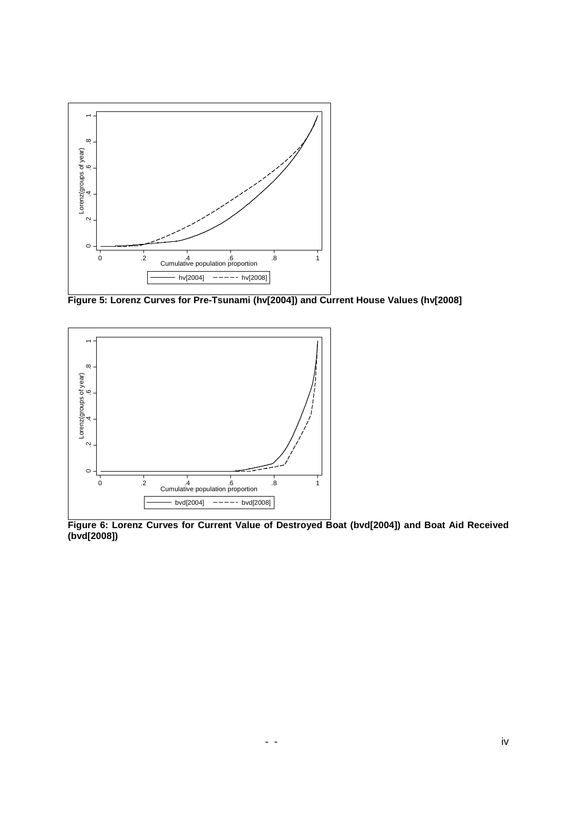

**Figure 5: Lorenz Curves for Pre-Tsunami (hv[2004]) and Current House Values (hv[2008]** 



**Figure 6: Lorenz Curves for Current Value of Destroyed Boat (bvd[2004]) and Boat Aid Received (bvd[2008])**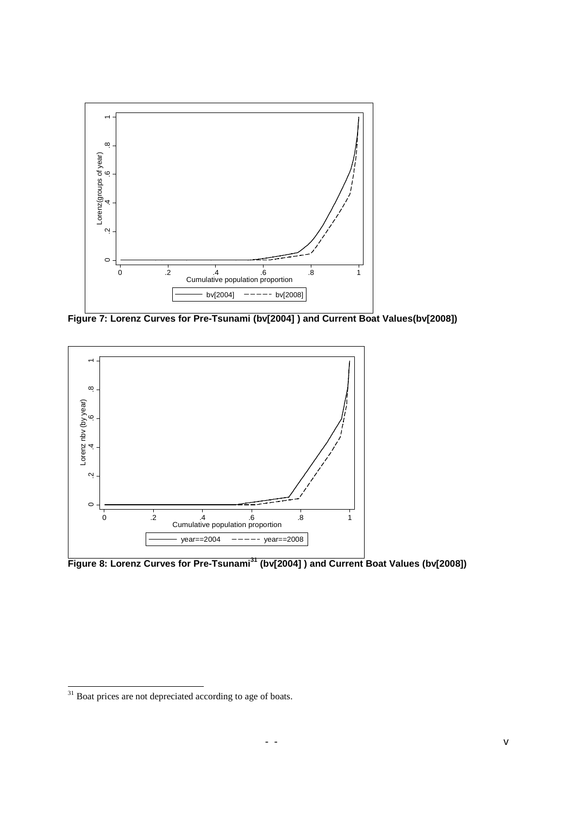

**Figure 7: Lorenz Curves for Pre-Tsunami (bv[2004] ) and Current Boat Values(bv[2008])** 



**Figure 8: Lorenz Curves for Pre-Tsunami<sup>31</sup> (bv[2004] ) and Current Boat Values (bv[2008])** 

 $31$  Boat prices are not depreciated according to age of boats.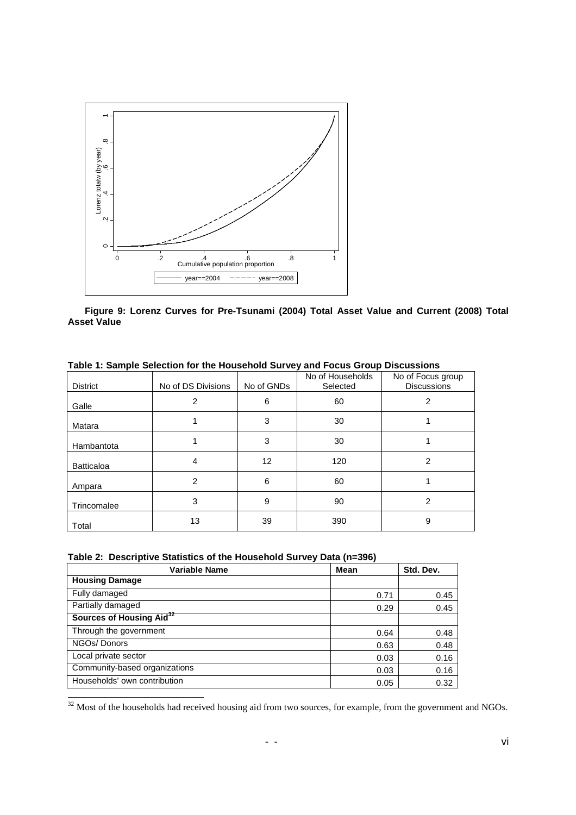

**Figure 9: Lorenz Curves for Pre-Tsunami (2004) Total Asset Value and Current (2008) Total Asset Value** 

|                   | TWEE TO DRILLE DESCRIPTION THE TRADUITOR DAI TO JUNIOR DI DUMP DIODROCIONO |            |                              |                                         |
|-------------------|----------------------------------------------------------------------------|------------|------------------------------|-----------------------------------------|
| <b>District</b>   | No of DS Divisions                                                         | No of GNDs | No of Households<br>Selected | No of Focus group<br><b>Discussions</b> |
| Galle             | 2                                                                          | 6          | 60                           | 2                                       |
| Matara            |                                                                            | 3          | 30                           |                                         |
| Hambantota        |                                                                            | 3          | 30                           |                                         |
| <b>Batticaloa</b> | 4                                                                          | 12         | 120                          | $\overline{2}$                          |
| Ampara            | 2                                                                          | 6          | 60                           |                                         |
| Trincomalee       | 3                                                                          | 9          | 90                           | 2                                       |
| Total             | 13                                                                         | 39         | 390                          | 9                                       |

**Table 1: Sample Selection for the Household Survey and Focus Group Discussions** 

|  |  |  | Table 2: Descriptive Statistics of the Household Survey Data (n=396) |  |  |  |
|--|--|--|----------------------------------------------------------------------|--|--|--|
|--|--|--|----------------------------------------------------------------------|--|--|--|

| <b>Variable Name</b>                 | <b>Mean</b> | Std. Dev. |
|--------------------------------------|-------------|-----------|
| <b>Housing Damage</b>                |             |           |
| Fully damaged                        | 0.71        | 0.45      |
| Partially damaged                    | 0.29        | 0.45      |
| Sources of Housing Aid <sup>32</sup> |             |           |
| Through the government               | 0.64        | 0.48      |
| NGOs/Donors                          | 0.63        | 0.48      |
| Local private sector                 | 0.03        | 0.16      |
| Community-based organizations        | 0.03        | 0.16      |
| Households' own contribution         | 0.05        | 0.32      |

 $32$  Most of the households had received housing aid from two sources, for example, from the government and NGOs.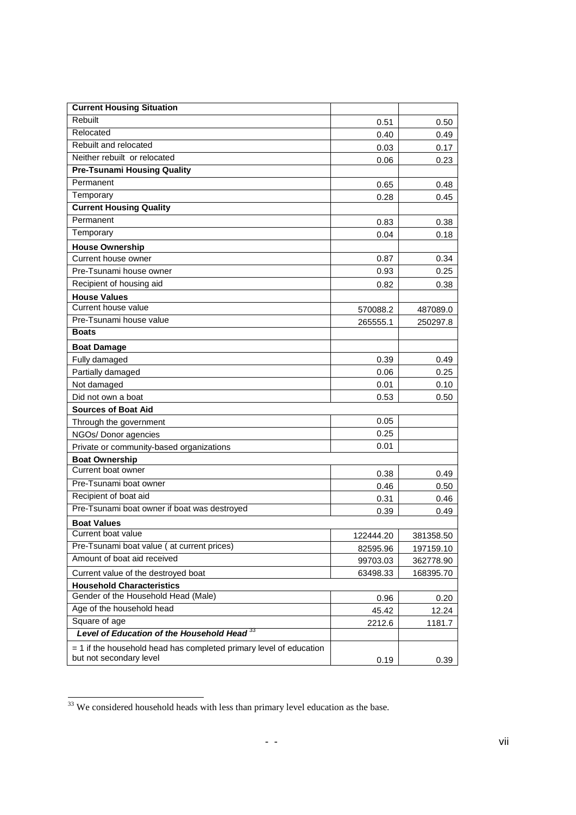| <b>Current Housing Situation</b>                                     |           |           |
|----------------------------------------------------------------------|-----------|-----------|
| Rebuilt                                                              | 0.51      | 0.50      |
| Relocated                                                            | 0.40      | 0.49      |
| Rebuilt and relocated                                                | 0.03      | 0.17      |
| Neither rebuilt or relocated                                         | 0.06      | 0.23      |
| <b>Pre-Tsunami Housing Quality</b>                                   |           |           |
| Permanent                                                            | 0.65      | 0.48      |
| Temporary                                                            | 0.28      | 0.45      |
| <b>Current Housing Quality</b>                                       |           |           |
| Permanent                                                            | 0.83      | 0.38      |
| Temporary                                                            | 0.04      | 0.18      |
| <b>House Ownership</b>                                               |           |           |
| Current house owner                                                  | 0.87      | 0.34      |
| Pre-Tsunami house owner                                              | 0.93      | 0.25      |
| Recipient of housing aid                                             | 0.82      | 0.38      |
| <b>House Values</b>                                                  |           |           |
| Current house value                                                  | 570088.2  | 487089.0  |
| Pre-Tsunami house value                                              | 265555.1  | 250297.8  |
| <b>Boats</b>                                                         |           |           |
| <b>Boat Damage</b>                                                   |           |           |
| Fully damaged                                                        | 0.39      | 0.49      |
| Partially damaged                                                    | 0.06      | 0.25      |
| Not damaged                                                          | 0.01      | 0.10      |
| Did not own a boat                                                   | 0.53      | 0.50      |
| <b>Sources of Boat Aid</b>                                           |           |           |
| Through the government                                               | 0.05      |           |
| NGOs/ Donor agencies                                                 | 0.25      |           |
| Private or community-based organizations                             | 0.01      |           |
| <b>Boat Ownership</b>                                                |           |           |
| Current boat owner                                                   | 0.38      | 0.49      |
| Pre-Tsunami boat owner                                               | 0.46      | 0.50      |
| Recipient of boat aid                                                | 0.31      | 0.46      |
| Pre-Tsunami boat owner if boat was destroyed                         | 0.39      | 0.49      |
| <b>Boat Values</b>                                                   |           |           |
| Current boat value                                                   | 122444.20 | 381358.50 |
| Pre-Tsunami boat value (at current prices)                           | 82595.96  | 197159.10 |
| Amount of boat aid received                                          | 99703.03  | 362778.90 |
| Current value of the destroyed boat                                  | 63498.33  | 168395.70 |
| <b>Household Characteristics</b>                                     |           |           |
| Gender of the Household Head (Male)                                  | 0.96      | 0.20      |
| Age of the household head                                            | 45.42     | 12.24     |
| Square of age                                                        | 2212.6    | 1181.7    |
| Level of Education of the Household Head <sup>33</sup>               |           |           |
| $=$ 1 if the household head has completed primary level of education |           |           |
| but not secondary level                                              | 0.19      | 0.39      |

 $33$  We considered household heads with less than primary level education as the base.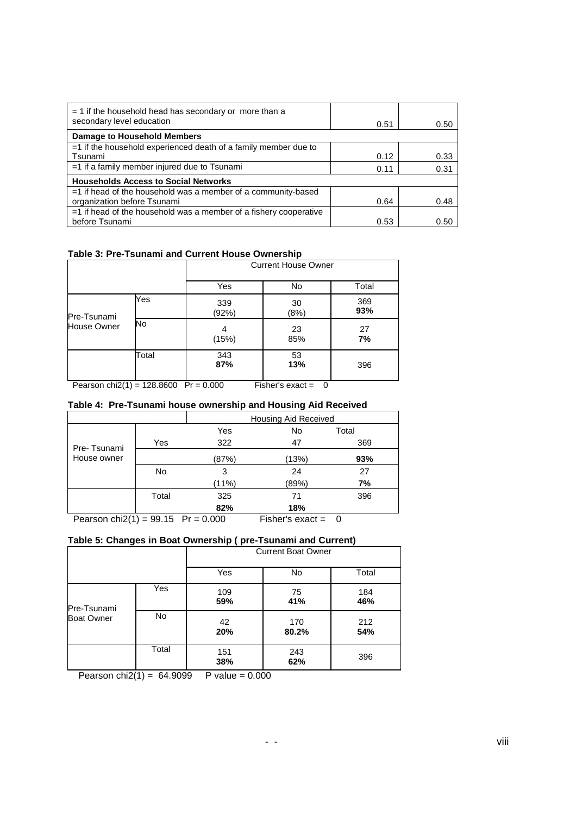| $=$ 1 if the household head has secondary or more than a<br>secondary level education | 0.51 | 0.50 |
|---------------------------------------------------------------------------------------|------|------|
| <b>Damage to Household Members</b>                                                    |      |      |
| $=$ 1 if the household experienced death of a family member due to                    |      |      |
| Tsunami                                                                               | 0.12 | 0.33 |
| $=$ 1 if a family member injured due to Tsunami                                       | 0.11 | 0.31 |
| <b>Households Access to Social Networks</b>                                           |      |      |
| $=$ 1 if head of the household was a member of a community-based                      |      |      |
| organization before Tsunami                                                           | 0.64 | 0.48 |
| $=$ 1 if head of the household was a member of a fishery cooperative                  |      |      |
| before Tsunami                                                                        | 0.53 | 0.50 |

#### **Table 3: Pre-Tsunami and Current House Ownership**

|             |       | <b>Current House Owner</b> |            |            |  |
|-------------|-------|----------------------------|------------|------------|--|
|             |       | Yes                        | No         | Total      |  |
| Pre-Tsunami | Yes   | 339<br>(92%)               | 30<br>(8%) | 369<br>93% |  |
| House Owner | No    | 4<br>(15%)                 | 23<br>85%  | 27<br>7%   |  |
|             | Total | 343<br>87%                 | 53<br>13%  | 396        |  |

Pearson chi $2(1) = 128.8600$  Pr = 0.000 Fisher's exact = 0

#### **Table 4: Pre-Tsunami house ownership and Housing Aid Received**

|                            |       | <b>Housing Aid Received</b> |                    |        |  |  |
|----------------------------|-------|-----------------------------|--------------------|--------|--|--|
| Pre-Tsunami<br>House owner |       | Yes                         | No                 | Total  |  |  |
|                            | Yes   | 322                         | 47                 | 369    |  |  |
|                            |       | (87%)                       | (13%)              | 93%    |  |  |
|                            | No    | 3                           | 24                 | 27     |  |  |
|                            |       | (11%)                       | (89%)              | 7%     |  |  |
|                            | Total | 325                         | 71                 | 396    |  |  |
|                            |       | 82%                         | 18%                |        |  |  |
| Dograph $\frac{10(4)}{2}$  | 00.4E | $D_r = 0.000$               | $Fishark$ avec $-$ | $\sim$ |  |  |

Pearson chi $2(1) = 99.15$  Pr = 0.000 Fisher's exact = 0

#### **Table 5: Changes in Boat Ownership ( pre-Tsunami and Current)**

|                   |       | <b>Current Boat Owner</b> |              |            |  |  |
|-------------------|-------|---------------------------|--------------|------------|--|--|
|                   |       | Yes                       | No           | Total      |  |  |
| Pre-Tsunami       | Yes   | 109<br>59%                | 75<br>41%    | 184<br>46% |  |  |
| <b>Boat Owner</b> | No    | 42<br>20%                 | 170<br>80.2% | 212<br>54% |  |  |
|                   | Total | 151<br>38%                | 243<br>62%   | 396        |  |  |

Pearson chi2(1) =  $64.9099$  P value = 0.000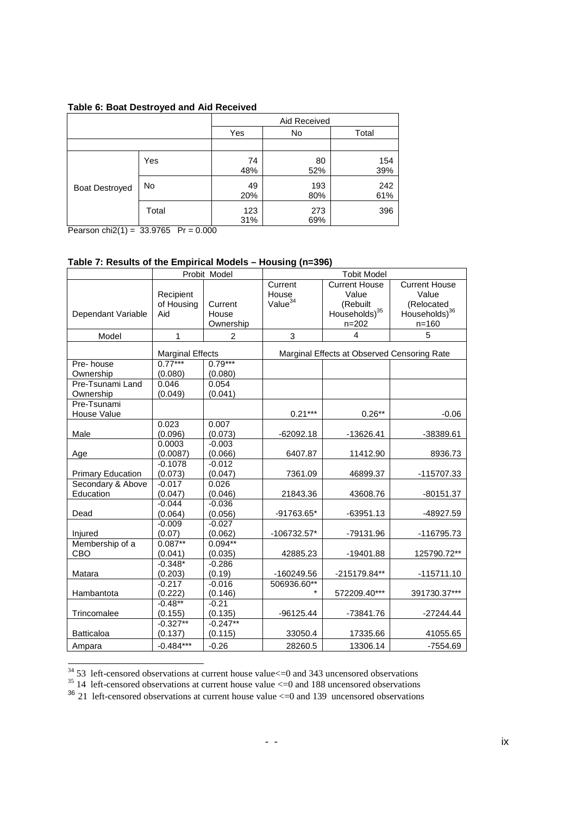|                       |           | Aid Received |            |            |
|-----------------------|-----------|--------------|------------|------------|
|                       |           |              | No         | Total      |
|                       |           |              |            |            |
|                       | Yes       | 74<br>48%    | 80<br>52%  | 154<br>39% |
| <b>Boat Destroyed</b> | <b>No</b> | 49<br>20%    | 193<br>80% | 242<br>61% |
|                       | Total     | 123<br>31%   | 273<br>69% | 396        |

Pearson chi2(1) =  $33.9765$  Pr = 0.000

#### **Table 7: Results of the Empirical Models – Housing (n=396)**

|                                   |                                | Probit Model                  | <b>Tobit Model</b>                      |                                                                                     |                                                                                       |
|-----------------------------------|--------------------------------|-------------------------------|-----------------------------------------|-------------------------------------------------------------------------------------|---------------------------------------------------------------------------------------|
| Dependant Variable                | Recipient<br>of Housing<br>Aid | Current<br>House<br>Ownership | Current<br>House<br>Value <sup>34</sup> | <b>Current House</b><br>Value<br>(Rebuilt<br>Households) <sup>35</sup><br>$n = 202$ | <b>Current House</b><br>Value<br>(Relocated<br>Households) <sup>36</sup><br>$n = 160$ |
| Model                             | $\mathbf{1}$                   | 2                             | 3                                       | $\overline{\mathbf{4}}$                                                             | 5                                                                                     |
|                                   | <b>Marginal Effects</b>        |                               |                                         | Marginal Effects at Observed Censoring Rate                                         |                                                                                       |
| Pre-house<br>Ownership            | $0.77***$<br>(0.080)           | $0.79***$<br>(0.080)          |                                         |                                                                                     |                                                                                       |
| Pre-Tsunami Land<br>Ownership     | 0.046<br>(0.049)               | 0.054<br>(0.041)              |                                         |                                                                                     |                                                                                       |
| Pre-Tsunami<br><b>House Value</b> |                                |                               | $0.21***$                               | $0.26**$                                                                            | $-0.06$                                                                               |
| Male                              | 0.023<br>(0.096)               | 0.007<br>(0.073)              | $-62092.18$                             | $-13626.41$                                                                         | -38389.61                                                                             |
| Age                               | 0.0003<br>(0.0087)             | $-0.003$<br>(0.066)           | 6407.87                                 | 11412.90                                                                            | 8936.73                                                                               |
| <b>Primary Education</b>          | $-0.1078$<br>(0.073)           | $-0.012$<br>(0.047)           | 7361.09                                 | 46899.37                                                                            | -115707.33                                                                            |
| Secondary & Above<br>Education    | $-0.017$<br>(0.047)            | 0.026<br>(0.046)              | 21843.36                                | 43608.76                                                                            | $-80151.37$                                                                           |
| Dead                              | $-0.044$<br>(0.064)            | $-0.036$<br>(0.056)           | -91763.65*                              | $-63951.13$                                                                         | -48927.59                                                                             |
| Injured                           | $-0.009$<br>(0.07)             | $-0.027$<br>(0.062)           | -106732.57*                             | -79131.96                                                                           | -116795.73                                                                            |
| Membership of a<br>CBO            | $0.087**$<br>(0.041)           | $0.094**$<br>(0.035)          | 42885.23                                | $-19401.88$                                                                         | 125790.72**                                                                           |
| Matara                            | $-0.348*$<br>(0.203)           | $-0.286$<br>(0.19)            | -160249.56                              | -215179.84**                                                                        | $-115711.10$                                                                          |
| Hambantota                        | $-0.217$<br>(0.222)            | $-0.016$<br>(0.146)           | 506936.60**<br>$\star$                  | 572209.40***                                                                        | 391730.37***                                                                          |
| Trincomalee                       | $-0.48**$<br>(0.155)           | $-0.21$<br>(0.135)            | $-96125.44$                             | -73841.76                                                                           | $-27244.44$                                                                           |
| <b>Batticaloa</b>                 | $-0.327**$<br>(0.137)          | $-0.247**$<br>(0.115)         | 33050.4                                 | 17335.66                                                                            | 41055.65                                                                              |
| Ampara                            | $-0.484***$                    | $-0.26$                       | 28260.5                                 | 13306.14                                                                            | $-7554.69$                                                                            |

 $\overline{a}$  $34$  53 left-censored observations at current house value $\le$  =0 and 343 uncensored observations

 $35$  14 left-censored observations at current house value  $\leq$  0 and 188 uncensored observations

 $36$  21 left-censored observations at current house value  $\leq$  0 and 139 uncensored observations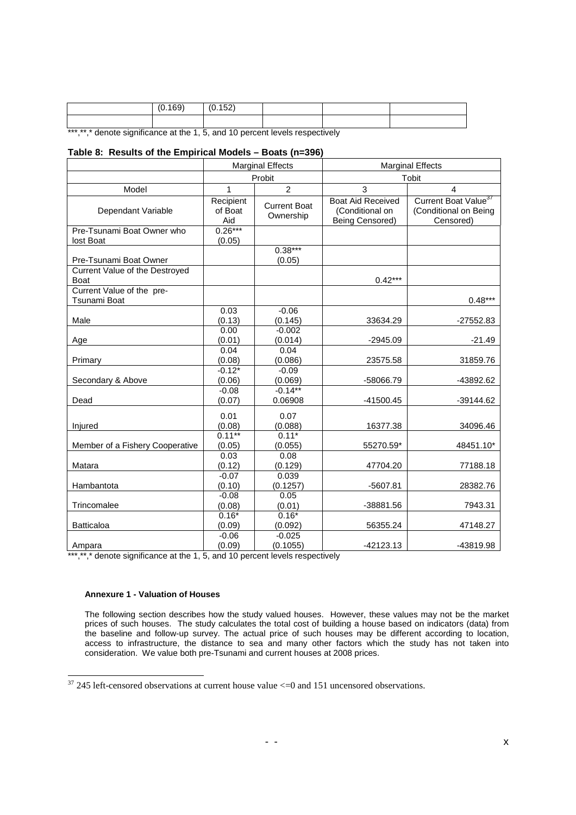|                                                                              | (0.169) | (0.152) |  |  |
|------------------------------------------------------------------------------|---------|---------|--|--|
|                                                                              |         |         |  |  |
| ***,**,* denote significance at the 1, 5, and 10 percent levels respectively |         |         |  |  |

#### **Table 8: Results of the Empirical Models – Boats (n=396)**

|                                               | <b>Marginal Effects</b>     |                                  | <b>Marginal Effects</b>                                        |                                                                        |
|-----------------------------------------------|-----------------------------|----------------------------------|----------------------------------------------------------------|------------------------------------------------------------------------|
|                                               | Probit                      |                                  | Tobit                                                          |                                                                        |
| Model                                         | 1                           | $\overline{2}$                   | 3                                                              | 4                                                                      |
| Dependant Variable                            | Recipient<br>of Boat<br>Aid | <b>Current Boat</b><br>Ownership | <b>Boat Aid Received</b><br>(Conditional on<br>Being Censored) | Current Boat Value <sup>37</sup><br>(Conditional on Being<br>Censored) |
| Pre-Tsunami Boat Owner who                    | $0.26***$                   |                                  |                                                                |                                                                        |
| lost Boat                                     | (0.05)                      |                                  |                                                                |                                                                        |
|                                               |                             | $0.38***$                        |                                                                |                                                                        |
| Pre-Tsunami Boat Owner                        |                             | (0.05)                           |                                                                |                                                                        |
| Current Value of the Destroyed<br><b>Boat</b> |                             |                                  | $0.42***$                                                      |                                                                        |
| Current Value of the pre-<br>Tsunami Boat     |                             |                                  |                                                                | $0.48***$                                                              |
|                                               | 0.03                        | $-0.06$                          |                                                                |                                                                        |
| Male                                          | (0.13)                      | (0.145)                          | 33634.29                                                       | -27552.83                                                              |
| Age                                           | 0.00<br>(0.01)              | $-0.002$<br>(0.014)              | $-2945.09$                                                     | $-21.49$                                                               |
|                                               | 0.04                        | 0.04                             |                                                                |                                                                        |
| Primary                                       | (0.08)                      | (0.086)                          | 23575.58                                                       | 31859.76                                                               |
|                                               | $-0.12*$                    | $-0.09$                          |                                                                |                                                                        |
| Secondary & Above                             | (0.06)                      | (0.069)                          | -58066.79                                                      | -43892.62                                                              |
|                                               | $-0.08$                     | $-0.14***$                       |                                                                |                                                                        |
| Dead                                          | (0.07)                      | 0.06908                          | -41500.45                                                      | -39144.62                                                              |
|                                               | 0.01                        | 0.07                             |                                                                |                                                                        |
| Injured                                       | (0.08)                      | (0.088)                          | 16377.38                                                       | 34096.46                                                               |
|                                               | $0.11***$                   | $0.11*$                          |                                                                |                                                                        |
| Member of a Fishery Cooperative               | (0.05)                      | (0.055)                          | 55270.59*                                                      | 48451.10*                                                              |
|                                               | 0.03                        | 0.08                             |                                                                |                                                                        |
| Matara                                        | (0.12)                      | (0.129)                          | 47704.20                                                       | 77188.18                                                               |
|                                               | $-0.07$                     | 0.039                            |                                                                |                                                                        |
| Hambantota                                    | (0.10)                      | (0.1257)                         | $-5607.81$                                                     | 28382.76                                                               |
|                                               | $-0.08$                     | 0.05                             |                                                                |                                                                        |
| Trincomalee                                   | (0.08)                      | (0.01)                           | -38881.56                                                      | 7943.31                                                                |
| <b>Batticaloa</b>                             | $0.16*$<br>(0.09)           | $0.16*$<br>(0.092)               | 56355.24                                                       | 47148.27                                                               |
|                                               | $-0.06$                     | $-0.025$                         |                                                                |                                                                        |
| Ampara                                        | (0.09)                      | (0.1055)                         | -42123.13                                                      | -43819.98                                                              |

\*\*\*,\*\*,\* denote significance at the 1, 5, and 10 percent levels respectively

#### **Annexure 1 - Valuation of Houses**

1

The following section describes how the study valued houses. However, these values may not be the market prices of such houses. The study calculates the total cost of building a house based on indicators (data) from the baseline and follow-up survey. The actual price of such houses may be different according to location, access to infrastructure, the distance to sea and many other factors which the study has not taken into consideration. We value both pre-Tsunami and current houses at 2008 prices.

 $37$  245 left-censored observations at current house value  $\leq$  0 and 151 uncensored observations.